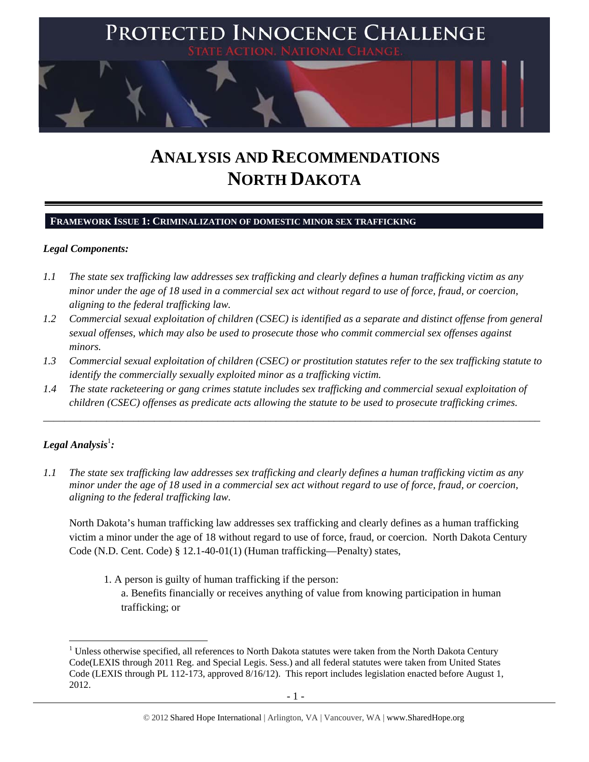

# **ANALYSIS AND RECOMMENDATIONS NORTH DAKOTA**

#### **FRAMEWORK ISSUE 1: CRIMINALIZATION OF DOMESTIC MINOR SEX TRAFFICKING**

#### *Legal Components:*

- *1.1 The state sex trafficking law addresses sex trafficking and clearly defines a human trafficking victim as any minor under the age of 18 used in a commercial sex act without regard to use of force, fraud, or coercion, aligning to the federal trafficking law.*
- *1.2 Commercial sexual exploitation of children (CSEC) is identified as a separate and distinct offense from general sexual offenses, which may also be used to prosecute those who commit commercial sex offenses against minors.*
- *1.3 Commercial sexual exploitation of children (CSEC) or prostitution statutes refer to the sex trafficking statute to identify the commercially sexually exploited minor as a trafficking victim.*

\_\_\_\_\_\_\_\_\_\_\_\_\_\_\_\_\_\_\_\_\_\_\_\_\_\_\_\_\_\_\_\_\_\_\_\_\_\_\_\_\_\_\_\_\_\_\_\_\_\_\_\_\_\_\_\_\_\_\_\_\_\_\_\_\_\_\_\_\_\_\_\_\_\_\_\_\_\_\_\_\_\_\_\_\_\_\_\_\_\_\_\_\_\_

*1.4 The state racketeering or gang crimes statute includes sex trafficking and commercial sexual exploitation of children (CSEC) offenses as predicate acts allowing the statute to be used to prosecute trafficking crimes.* 

# $\bm{\mathit{Legal\, Analysis^{\text{!}}:}}$

*1.1 The state sex trafficking law addresses sex trafficking and clearly defines a human trafficking victim as any minor under the age of 18 used in a commercial sex act without regard to use of force, fraud, or coercion, aligning to the federal trafficking law.*

North Dakota's human trafficking law addresses sex trafficking and clearly defines as a human trafficking victim a minor under the age of 18 without regard to use of force, fraud, or coercion. North Dakota Century Code (N.D. Cent. Code) § 12.1-40-01(1) (Human trafficking—Penalty) states,

1. A person is guilty of human trafficking if the person:

a. Benefits financially or receives anything of value from knowing participation in human trafficking; or

  $1$  Unless otherwise specified, all references to North Dakota statutes were taken from the North Dakota Century Code(LEXIS through 2011 Reg. and Special Legis. Sess.) and all federal statutes were taken from United States Code (LEXIS through PL 112-173, approved 8/16/12). This report includes legislation enacted before August 1, 2012.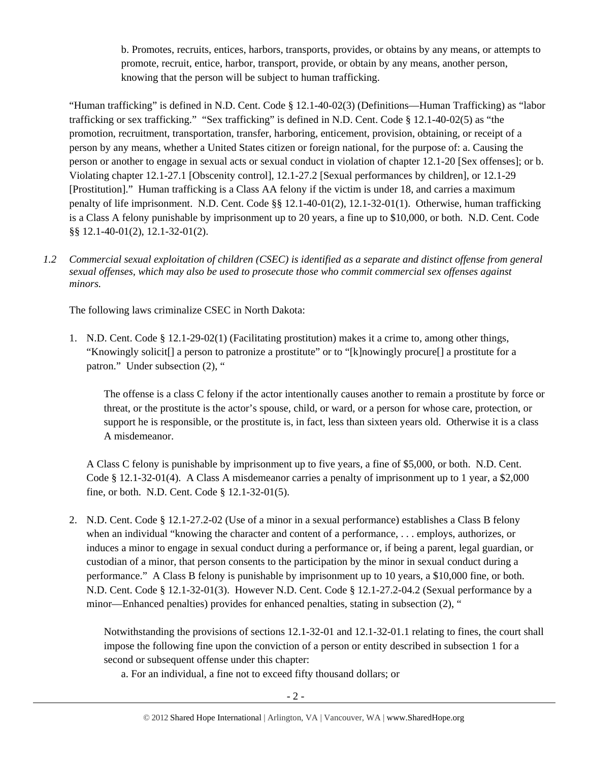b. Promotes, recruits, entices, harbors, transports, provides, or obtains by any means, or attempts to promote, recruit, entice, harbor, transport, provide, or obtain by any means, another person, knowing that the person will be subject to human trafficking.

"Human trafficking" is defined in N.D. Cent. Code § 12.1-40-02(3) (Definitions—Human Trafficking) as "labor trafficking or sex trafficking." "Sex trafficking" is defined in N.D. Cent. Code § 12.1-40-02(5) as "the promotion, recruitment, transportation, transfer, harboring, enticement, provision, obtaining, or receipt of a person by any means, whether a United States citizen or foreign national, for the purpose of: a. Causing the person or another to engage in sexual acts or sexual conduct in violation of chapter 12.1-20 [Sex offenses]; or b. Violating chapter 12.1-27.1 [Obscenity control], 12.1-27.2 [Sexual performances by children], or 12.1-29 [Prostitution]." Human trafficking is a Class AA felony if the victim is under 18, and carries a maximum penalty of life imprisonment. N.D. Cent. Code §§ 12.1-40-01(2), 12.1-32-01(1). Otherwise, human trafficking is a Class A felony punishable by imprisonment up to 20 years, a fine up to \$10,000, or both. N.D. Cent. Code §§ 12.1-40-01(2), 12.1-32-01(2).

*1.2 Commercial sexual exploitation of children (CSEC) is identified as a separate and distinct offense from general sexual offenses, which may also be used to prosecute those who commit commercial sex offenses against minors.*

The following laws criminalize CSEC in North Dakota:

1. N.D. Cent. Code § 12.1-29-02(1) (Facilitating prostitution) makes it a crime to, among other things, "Knowingly solicit[] a person to patronize a prostitute" or to "[k]nowingly procure[] a prostitute for a patron." Under subsection (2), "

The offense is a class C felony if the actor intentionally causes another to remain a prostitute by force or threat, or the prostitute is the actor's spouse, child, or ward, or a person for whose care, protection, or support he is responsible, or the prostitute is, in fact, less than sixteen years old. Otherwise it is a class A misdemeanor.

A Class C felony is punishable by imprisonment up to five years, a fine of \$5,000, or both. N.D. Cent. Code § 12.1-32-01(4). A Class A misdemeanor carries a penalty of imprisonment up to 1 year, a \$2,000 fine, or both. N.D. Cent. Code § 12.1-32-01(5).

2. N.D. Cent. Code § 12.1-27.2-02 (Use of a minor in a sexual performance) establishes a Class B felony when an individual "knowing the character and content of a performance, . . . employs, authorizes, or induces a minor to engage in sexual conduct during a performance or, if being a parent, legal guardian, or custodian of a minor, that person consents to the participation by the minor in sexual conduct during a performance." A Class B felony is punishable by imprisonment up to 10 years, a \$10,000 fine, or both. N.D. Cent. Code § 12.1-32-01(3). However N.D. Cent. Code § 12.1-27.2-04.2 (Sexual performance by a minor—Enhanced penalties) provides for enhanced penalties, stating in subsection (2), "

Notwithstanding the provisions of sections 12.1-32-01 and 12.1-32-01.1 relating to fines, the court shall impose the following fine upon the conviction of a person or entity described in subsection 1 for a second or subsequent offense under this chapter:

a. For an individual, a fine not to exceed fifty thousand dollars; or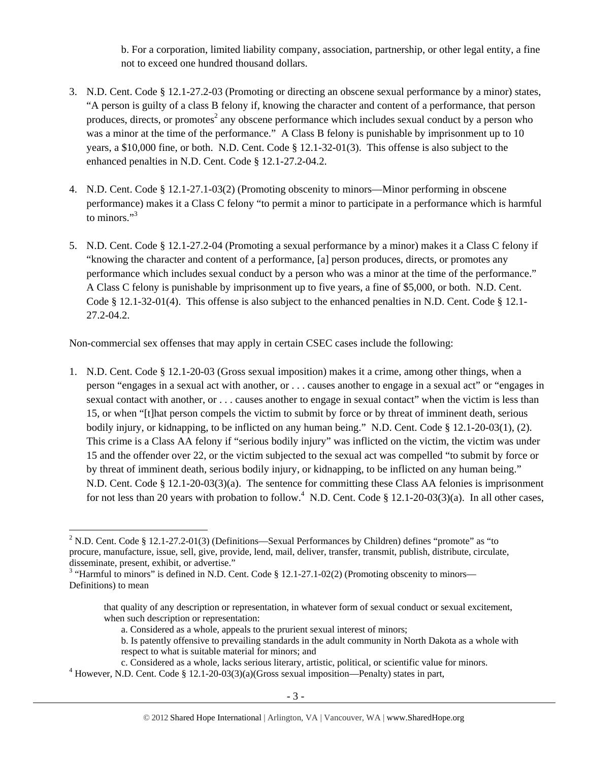b. For a corporation, limited liability company, association, partnership, or other legal entity, a fine not to exceed one hundred thousand dollars.

- 3. N.D. Cent. Code § 12.1-27.2-03 (Promoting or directing an obscene sexual performance by a minor) states, "A person is guilty of a class B felony if, knowing the character and content of a performance, that person produces, directs, or promotes<sup>2</sup> any obscene performance which includes sexual conduct by a person who was a minor at the time of the performance." A Class B felony is punishable by imprisonment up to 10 years, a \$10,000 fine, or both. N.D. Cent. Code § 12.1-32-01(3). This offense is also subject to the enhanced penalties in N.D. Cent. Code § 12.1-27.2-04.2.
- 4. N.D. Cent. Code § 12.1-27.1-03(2) (Promoting obscenity to minors—Minor performing in obscene performance) makes it a Class C felony "to permit a minor to participate in a performance which is harmful to minors."<sup>3</sup>
- 5. N.D. Cent. Code § 12.1-27.2-04 (Promoting a sexual performance by a minor) makes it a Class C felony if "knowing the character and content of a performance, [a] person produces, directs, or promotes any performance which includes sexual conduct by a person who was a minor at the time of the performance." A Class C felony is punishable by imprisonment up to five years, a fine of \$5,000, or both. N.D. Cent. Code § 12.1-32-01(4). This offense is also subject to the enhanced penalties in N.D. Cent. Code § 12.1- 27.2-04.2.

Non-commercial sex offenses that may apply in certain CSEC cases include the following:

1. N.D. Cent. Code § 12.1-20-03 (Gross sexual imposition) makes it a crime, among other things, when a person "engages in a sexual act with another, or . . . causes another to engage in a sexual act" or "engages in sexual contact with another, or . . . causes another to engage in sexual contact" when the victim is less than 15, or when "[t]hat person compels the victim to submit by force or by threat of imminent death, serious bodily injury, or kidnapping, to be inflicted on any human being." N.D. Cent. Code § 12.1-20-03(1), (2). This crime is a Class AA felony if "serious bodily injury" was inflicted on the victim, the victim was under 15 and the offender over 22, or the victim subjected to the sexual act was compelled "to submit by force or by threat of imminent death, serious bodily injury, or kidnapping, to be inflicted on any human being." N.D. Cent. Code § 12.1-20-03(3)(a). The sentence for committing these Class AA felonies is imprisonment for not less than 20 years with probation to follow.<sup>4</sup> N.D. Cent. Code § 12.1-20-03(3)(a). In all other cases,

<sup>&</sup>lt;sup>2</sup> N.D. Cent. Code § 12.1-27.2-01(3) (Definitions—Sexual Performances by Children) defines "promote" as "to procure, manufacture, issue, sell, give, provide, lend, mail, deliver, transfer, transmit, publish, distribute, circulate, disseminate, present, exhibit, or advertise."

<sup>&</sup>lt;sup>3</sup> "Harmful to minors" is defined in N.D. Cent. Code § 12.1-27.1-02(2) (Promoting obscenity to minors— Definitions) to mean

that quality of any description or representation, in whatever form of sexual conduct or sexual excitement, when such description or representation:

a. Considered as a whole, appeals to the prurient sexual interest of minors;

b. Is patently offensive to prevailing standards in the adult community in North Dakota as a whole with respect to what is suitable material for minors; and

c. Considered as a whole, lacks serious literary, artistic, political, or scientific value for minors. 4

<sup>&</sup>lt;sup>4</sup> However, N.D. Cent. Code § 12.1-20-03(3)(a)(Gross sexual imposition—Penalty) states in part,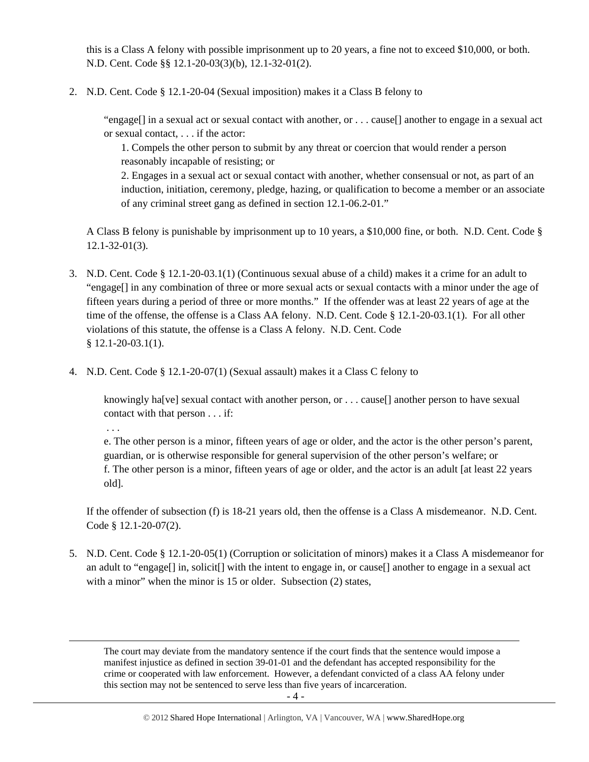this is a Class A felony with possible imprisonment up to 20 years, a fine not to exceed \$10,000, or both. N.D. Cent. Code §§ 12.1-20-03(3)(b), 12.1-32-01(2).

2. N.D. Cent. Code § 12.1-20-04 (Sexual imposition) makes it a Class B felony to

"engage[] in a sexual act or sexual contact with another, or . . . cause[] another to engage in a sexual act or sexual contact, . . . if the actor:

1. Compels the other person to submit by any threat or coercion that would render a person reasonably incapable of resisting; or

2. Engages in a sexual act or sexual contact with another, whether consensual or not, as part of an induction, initiation, ceremony, pledge, hazing, or qualification to become a member or an associate of any criminal street gang as defined in section 12.1-06.2-01."

A Class B felony is punishable by imprisonment up to 10 years, a \$10,000 fine, or both. N.D. Cent. Code § 12.1-32-01(3).

- 3. N.D. Cent. Code § 12.1-20-03.1(1) (Continuous sexual abuse of a child) makes it a crime for an adult to "engage[] in any combination of three or more sexual acts or sexual contacts with a minor under the age of fifteen years during a period of three or more months." If the offender was at least 22 years of age at the time of the offense, the offense is a Class AA felony. N.D. Cent. Code § 12.1-20-03.1(1). For all other violations of this statute, the offense is a Class A felony. N.D. Cent. Code § 12.1-20-03.1(1).
- 4. N.D. Cent. Code § 12.1-20-07(1) (Sexual assault) makes it a Class C felony to

knowingly ha<sup>[ve]</sup> sexual contact with another person, or . . . cause<sup>[]</sup> another person to have sexual contact with that person . . . if:

. . .

e. The other person is a minor, fifteen years of age or older, and the actor is the other person's parent, guardian, or is otherwise responsible for general supervision of the other person's welfare; or f. The other person is a minor, fifteen years of age or older, and the actor is an adult [at least 22 years old].

If the offender of subsection (f) is 18-21 years old, then the offense is a Class A misdemeanor. N.D. Cent. Code § 12.1-20-07(2).

5. N.D. Cent. Code § 12.1-20-05(1) (Corruption or solicitation of minors) makes it a Class A misdemeanor for an adult to "engage[] in, solicit[] with the intent to engage in, or cause[] another to engage in a sexual act with a minor" when the minor is 15 or older. Subsection (2) states,

<u> 1989 - Johann Stein, marwolaethau a gweledydd a ganlad y ganlad y ganlad y ganlad y ganlad y ganlad y ganlad</u> The court may deviate from the mandatory sentence if the court finds that the sentence would impose a manifest injustice as defined in section 39-01-01 and the defendant has accepted responsibility for the crime or cooperated with law enforcement. However, a defendant convicted of a class AA felony under this section may not be sentenced to serve less than five years of incarceration.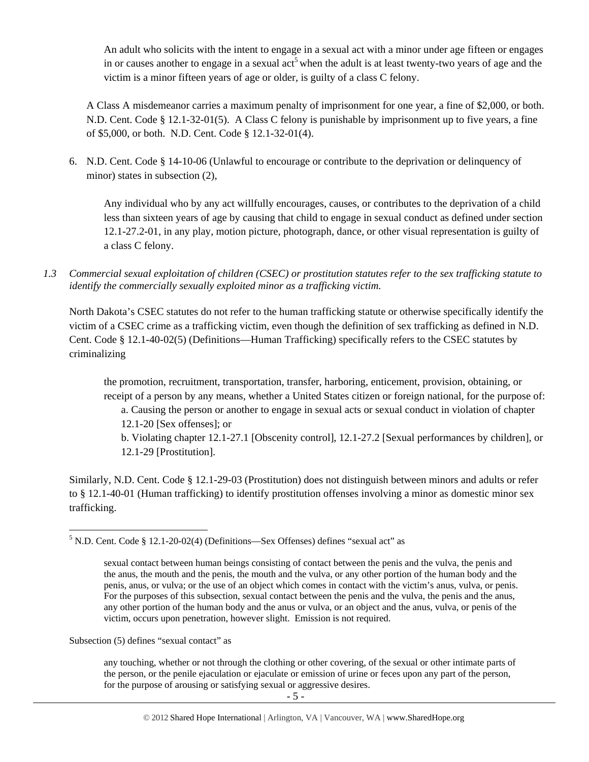An adult who solicits with the intent to engage in a sexual act with a minor under age fifteen or engages in or causes another to engage in a sexual act<sup>5</sup> when the adult is at least twenty-two years of age and the victim is a minor fifteen years of age or older, is guilty of a class C felony.

A Class A misdemeanor carries a maximum penalty of imprisonment for one year, a fine of \$2,000, or both. N.D. Cent. Code § 12.1-32-01(5). A Class C felony is punishable by imprisonment up to five years, a fine of \$5,000, or both. N.D. Cent. Code § 12.1-32-01(4).

6. N.D. Cent. Code § 14-10-06 (Unlawful to encourage or contribute to the deprivation or delinquency of minor) states in subsection (2),

Any individual who by any act willfully encourages, causes, or contributes to the deprivation of a child less than sixteen years of age by causing that child to engage in sexual conduct as defined under section 12.1-27.2-01, in any play, motion picture, photograph, dance, or other visual representation is guilty of a class C felony.

*1.3 Commercial sexual exploitation of children (CSEC) or prostitution statutes refer to the sex trafficking statute to identify the commercially sexually exploited minor as a trafficking victim.* 

North Dakota's CSEC statutes do not refer to the human trafficking statute or otherwise specifically identify the victim of a CSEC crime as a trafficking victim, even though the definition of sex trafficking as defined in N.D. Cent. Code § 12.1-40-02(5) (Definitions—Human Trafficking) specifically refers to the CSEC statutes by criminalizing

the promotion, recruitment, transportation, transfer, harboring, enticement, provision, obtaining, or receipt of a person by any means, whether a United States citizen or foreign national, for the purpose of:

a. Causing the person or another to engage in sexual acts or sexual conduct in violation of chapter 12.1-20 [Sex offenses]; or

b. Violating chapter 12.1-27.1 [Obscenity control], 12.1-27.2 [Sexual performances by children], or 12.1-29 [Prostitution].

Similarly, N.D. Cent. Code § 12.1-29-03 (Prostitution) does not distinguish between minors and adults or refer to § 12.1-40-01 (Human trafficking) to identify prostitution offenses involving a minor as domestic minor sex trafficking.

Subsection (5) defines "sexual contact" as

any touching, whether or not through the clothing or other covering, of the sexual or other intimate parts of the person, or the penile ejaculation or ejaculate or emission of urine or feces upon any part of the person, for the purpose of arousing or satisfying sexual or aggressive desires.

 $<sup>5</sup>$  N.D. Cent. Code § 12.1-20-02(4) (Definitions—Sex Offenses) defines "sexual act" as</sup>

sexual contact between human beings consisting of contact between the penis and the vulva, the penis and the anus, the mouth and the penis, the mouth and the vulva, or any other portion of the human body and the penis, anus, or vulva; or the use of an object which comes in contact with the victim's anus, vulva, or penis. For the purposes of this subsection, sexual contact between the penis and the vulva, the penis and the anus, any other portion of the human body and the anus or vulva, or an object and the anus, vulva, or penis of the victim, occurs upon penetration, however slight. Emission is not required.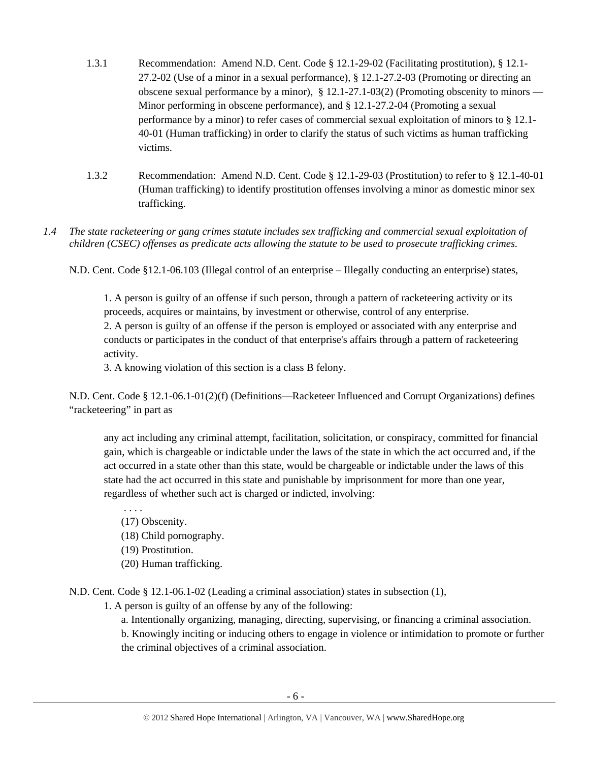- 1.3.1 Recommendation: Amend N.D. Cent. Code § 12.1-29-02 (Facilitating prostitution), § 12.1- 27.2-02 (Use of a minor in a sexual performance), § 12.1-27.2-03 (Promoting or directing an obscene sexual performance by a minor), § 12.1-27.1-03(2) (Promoting obscenity to minors — Minor performing in obscene performance), and § 12.1-27.2-04 (Promoting a sexual performance by a minor) to refer cases of commercial sexual exploitation of minors to § 12.1- 40-01 (Human trafficking) in order to clarify the status of such victims as human trafficking victims.
- 1.3.2 Recommendation: Amend N.D. Cent. Code § 12.1-29-03 (Prostitution) to refer to § 12.1-40-01 (Human trafficking) to identify prostitution offenses involving a minor as domestic minor sex trafficking.
- *1.4 The state racketeering or gang crimes statute includes sex trafficking and commercial sexual exploitation of children (CSEC) offenses as predicate acts allowing the statute to be used to prosecute trafficking crimes.*

N.D. Cent. Code §12.1-06.103 (Illegal control of an enterprise – Illegally conducting an enterprise) states,

1. A person is guilty of an offense if such person, through a pattern of racketeering activity or its proceeds, acquires or maintains, by investment or otherwise, control of any enterprise.

2. A person is guilty of an offense if the person is employed or associated with any enterprise and conducts or participates in the conduct of that enterprise's affairs through a pattern of racketeering activity.

3. A knowing violation of this section is a class B felony.

N.D. Cent. Code § 12.1-06.1-01(2)(f) (Definitions—Racketeer Influenced and Corrupt Organizations) defines "racketeering" in part as

any act including any criminal attempt, facilitation, solicitation, or conspiracy, committed for financial gain, which is chargeable or indictable under the laws of the state in which the act occurred and, if the act occurred in a state other than this state, would be chargeable or indictable under the laws of this state had the act occurred in this state and punishable by imprisonment for more than one year, regardless of whether such act is charged or indicted, involving:

 . . . . (17) Obscenity.

- (18) Child pornography.
- (19) Prostitution.
- 
- (20) Human trafficking.

N.D. Cent. Code § 12.1-06.1-02 (Leading a criminal association) states in subsection (1),

1. A person is guilty of an offense by any of the following:

a. Intentionally organizing, managing, directing, supervising, or financing a criminal association.

b. Knowingly inciting or inducing others to engage in violence or intimidation to promote or further the criminal objectives of a criminal association.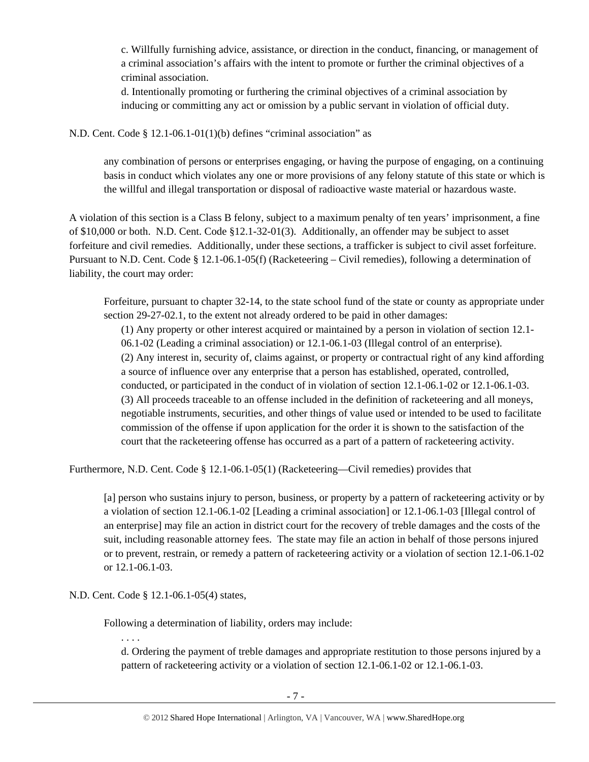c. Willfully furnishing advice, assistance, or direction in the conduct, financing, or management of a criminal association's affairs with the intent to promote or further the criminal objectives of a criminal association.

d. Intentionally promoting or furthering the criminal objectives of a criminal association by inducing or committing any act or omission by a public servant in violation of official duty.

N.D. Cent. Code § 12.1-06.1-01(1)(b) defines "criminal association" as

any combination of persons or enterprises engaging, or having the purpose of engaging, on a continuing basis in conduct which violates any one or more provisions of any felony statute of this state or which is the willful and illegal transportation or disposal of radioactive waste material or hazardous waste.

A violation of this section is a Class B felony, subject to a maximum penalty of ten years' imprisonment, a fine of \$10,000 or both. N.D. Cent. Code §12.1-32-01(3). Additionally, an offender may be subject to asset forfeiture and civil remedies. Additionally, under these sections, a trafficker is subject to civil asset forfeiture. Pursuant to N.D. Cent. Code § 12.1-06.1-05(f) (Racketeering – Civil remedies), following a determination of liability, the court may order:

Forfeiture, pursuant to chapter 32-14, to the state school fund of the state or county as appropriate under section 29-27-02.1, to the extent not already ordered to be paid in other damages:

(1) Any property or other interest acquired or maintained by a person in violation of section 12.1- 06.1-02 (Leading a criminal association) or 12.1-06.1-03 (Illegal control of an enterprise). (2) Any interest in, security of, claims against, or property or contractual right of any kind affording a source of influence over any enterprise that a person has established, operated, controlled, conducted, or participated in the conduct of in violation of section 12.1-06.1-02 or 12.1-06.1-03. (3) All proceeds traceable to an offense included in the definition of racketeering and all moneys, negotiable instruments, securities, and other things of value used or intended to be used to facilitate commission of the offense if upon application for the order it is shown to the satisfaction of the court that the racketeering offense has occurred as a part of a pattern of racketeering activity.

Furthermore, N.D. Cent. Code § 12.1-06.1-05(1) (Racketeering—Civil remedies) provides that

[a] person who sustains injury to person, business, or property by a pattern of racketeering activity or by a violation of section 12.1-06.1-02 [Leading a criminal association] or 12.1-06.1-03 [Illegal control of an enterprise] may file an action in district court for the recovery of treble damages and the costs of the suit, including reasonable attorney fees. The state may file an action in behalf of those persons injured or to prevent, restrain, or remedy a pattern of racketeering activity or a violation of section 12.1-06.1-02 or 12.1-06.1-03.

N.D. Cent. Code § 12.1-06.1-05(4) states,

Following a determination of liability, orders may include:

. . . .

d. Ordering the payment of treble damages and appropriate restitution to those persons injured by a pattern of racketeering activity or a violation of section 12.1-06.1-02 or 12.1-06.1-03.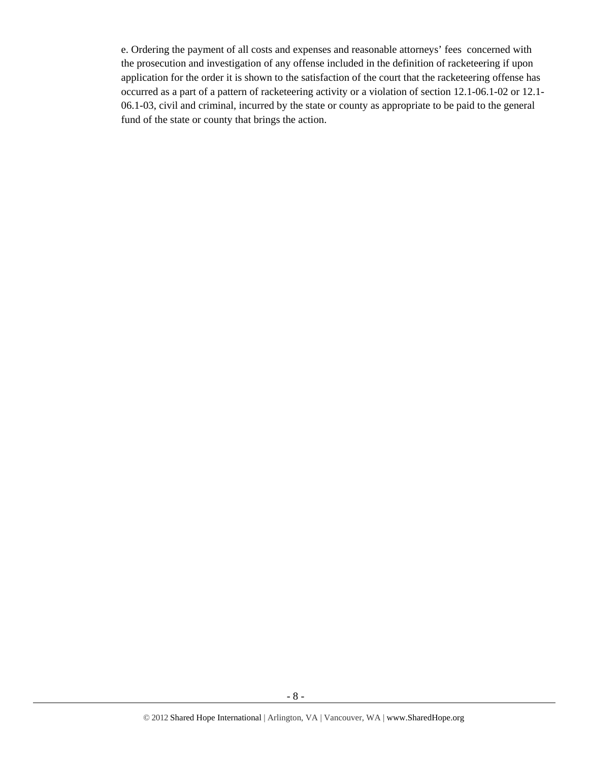e. Ordering the payment of all costs and expenses and reasonable attorneys' fees concerned with the prosecution and investigation of any offense included in the definition of racketeering if upon application for the order it is shown to the satisfaction of the court that the racketeering offense has occurred as a part of a pattern of racketeering activity or a violation of section 12.1-06.1-02 or 12.1- 06.1-03, civil and criminal, incurred by the state or county as appropriate to be paid to the general fund of the state or county that brings the action.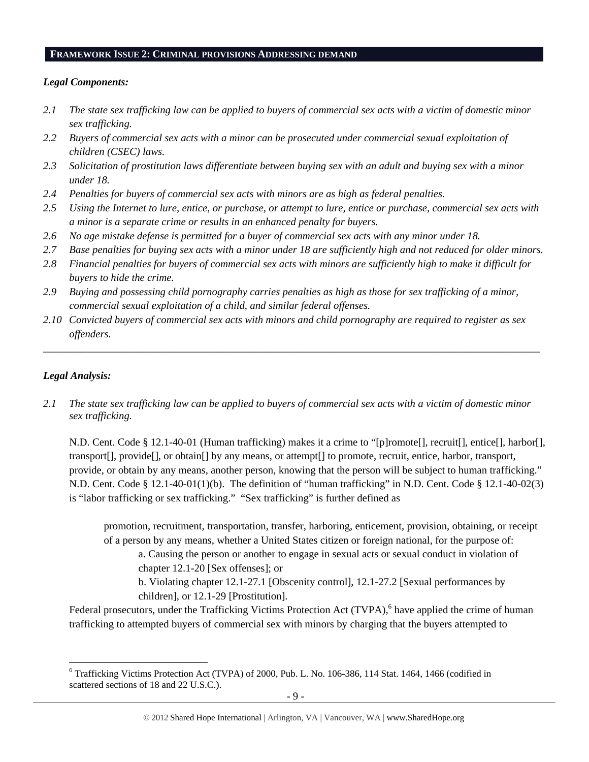#### **FRAMEWORK ISSUE 2: CRIMINAL PROVISIONS ADDRESSING DEMAND**

#### *Legal Components:*

- *2.1 The state sex trafficking law can be applied to buyers of commercial sex acts with a victim of domestic minor sex trafficking.*
- *2.2 Buyers of commercial sex acts with a minor can be prosecuted under commercial sexual exploitation of children (CSEC) laws.*
- *2.3 Solicitation of prostitution laws differentiate between buying sex with an adult and buying sex with a minor under 18.*
- *2.4 Penalties for buyers of commercial sex acts with minors are as high as federal penalties.*
- *2.5 Using the Internet to lure, entice, or purchase, or attempt to lure, entice or purchase, commercial sex acts with a minor is a separate crime or results in an enhanced penalty for buyers.*
- *2.6 No age mistake defense is permitted for a buyer of commercial sex acts with any minor under 18.*
- *2.7 Base penalties for buying sex acts with a minor under 18 are sufficiently high and not reduced for older minors.*
- *2.8 Financial penalties for buyers of commercial sex acts with minors are sufficiently high to make it difficult for buyers to hide the crime.*
- *2.9 Buying and possessing child pornography carries penalties as high as those for sex trafficking of a minor, commercial sexual exploitation of a child, and similar federal offenses.*
- *2.10 Convicted buyers of commercial sex acts with minors and child pornography are required to register as sex offenders.*

\_\_\_\_\_\_\_\_\_\_\_\_\_\_\_\_\_\_\_\_\_\_\_\_\_\_\_\_\_\_\_\_\_\_\_\_\_\_\_\_\_\_\_\_\_\_\_\_\_\_\_\_\_\_\_\_\_\_\_\_\_\_\_\_\_\_\_\_\_\_\_\_\_\_\_\_\_\_\_\_\_\_\_\_\_\_\_\_\_\_\_\_\_\_

# *Legal Analysis:*

*2.1 The state sex trafficking law can be applied to buyers of commercial sex acts with a victim of domestic minor sex trafficking.* 

N.D. Cent. Code § 12.1-40-01 (Human trafficking) makes it a crime to "[p]romote[], recruit[], entice[], harbor[], transport[], provide[], or obtain[] by any means, or attempt[] to promote, recruit, entice, harbor, transport, provide, or obtain by any means, another person, knowing that the person will be subject to human trafficking." N.D. Cent. Code § 12.1-40-01(1)(b). The definition of "human trafficking" in N.D. Cent. Code § 12.1-40-02(3) is "labor trafficking or sex trafficking." "Sex trafficking" is further defined as

promotion, recruitment, transportation, transfer, harboring, enticement, provision, obtaining, or receipt of a person by any means, whether a United States citizen or foreign national, for the purpose of:

a. Causing the person or another to engage in sexual acts or sexual conduct in violation of chapter 12.1-20 [Sex offenses]; or

b. Violating chapter 12.1-27.1 [Obscenity control], 12.1-27.2 [Sexual performances by children], or 12.1-29 [Prostitution].

Federal prosecutors, under the Trafficking Victims Protection Act (TVPA),<sup>6</sup> have applied the crime of human trafficking to attempted buyers of commercial sex with minors by charging that the buyers attempted to

<sup>&</sup>lt;sup>6</sup> Trafficking Victims Protection Act (TVPA) of 2000, Pub. L. No. 106-386, 114 Stat. 1464, 1466 (codified in scattered sections of 18 and 22 U.S.C.).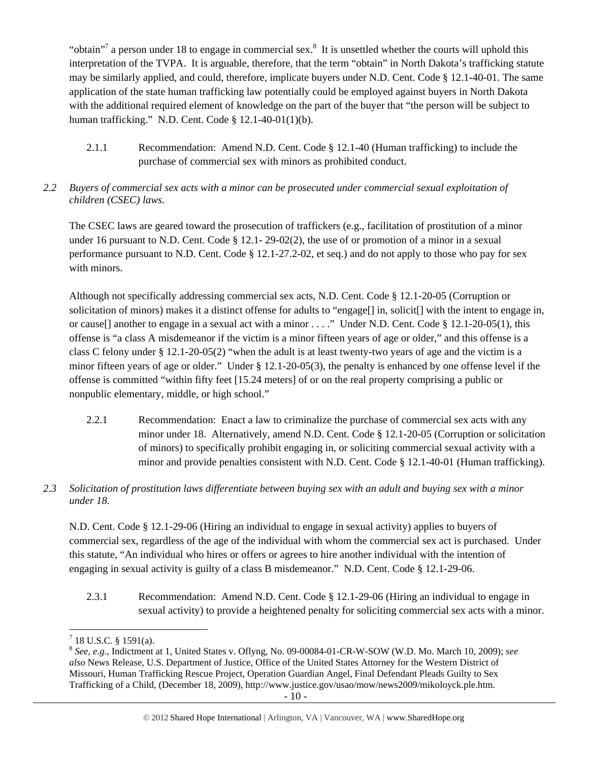"obtain"<sup>7</sup> a person under 18 to engage in commercial sex.<sup>8</sup> It is unsettled whether the courts will uphold this interpretation of the TVPA. It is arguable, therefore, that the term "obtain" in North Dakota's trafficking statute may be similarly applied, and could, therefore, implicate buyers under N.D. Cent. Code § 12.1-40-01. The same application of the state human trafficking law potentially could be employed against buyers in North Dakota with the additional required element of knowledge on the part of the buyer that "the person will be subject to human trafficking." N.D. Cent. Code § 12.1-40-01(1)(b).

- 2.1.1 Recommendation: Amend N.D. Cent. Code § 12.1-40 (Human trafficking) to include the purchase of commercial sex with minors as prohibited conduct.
- *2.2 Buyers of commercial sex acts with a minor can be prosecuted under commercial sexual exploitation of children (CSEC) laws.*

The CSEC laws are geared toward the prosecution of traffickers (e.g., facilitation of prostitution of a minor under 16 pursuant to N.D. Cent. Code § 12.1- 29-02(2), the use of or promotion of a minor in a sexual performance pursuant to N.D. Cent. Code § 12.1-27.2-02, et seq.) and do not apply to those who pay for sex with minors.

Although not specifically addressing commercial sex acts, N.D. Cent. Code § 12.1-20-05 (Corruption or solicitation of minors) makes it a distinct offense for adults to "engage<sup>[]</sup> in, solicit<sup>[]</sup> with the intent to engage in, or cause[] another to engage in a sexual act with a minor . . . ." Under N.D. Cent. Code § 12.1-20-05(1), this offense is "a class A misdemeanor if the victim is a minor fifteen years of age or older," and this offense is a class C felony under § 12.1-20-05(2) "when the adult is at least twenty-two years of age and the victim is a minor fifteen years of age or older." Under § 12.1-20-05(3), the penalty is enhanced by one offense level if the offense is committed "within fifty feet [15.24 meters] of or on the real property comprising a public or nonpublic elementary, middle, or high school."

- 2.2.1 Recommendation: Enact a law to criminalize the purchase of commercial sex acts with any minor under 18. Alternatively, amend N.D. Cent. Code § 12.1-20-05 (Corruption or solicitation of minors) to specifically prohibit engaging in, or soliciting commercial sexual activity with a minor and provide penalties consistent with N.D. Cent. Code § 12.1-40-01 (Human trafficking).
- *2.3 Solicitation of prostitution laws differentiate between buying sex with an adult and buying sex with a minor under 18.*

N.D. Cent. Code § 12.1-29-06 (Hiring an individual to engage in sexual activity) applies to buyers of commercial sex, regardless of the age of the individual with whom the commercial sex act is purchased. Under this statute, "An individual who hires or offers or agrees to hire another individual with the intention of engaging in sexual activity is guilty of a class B misdemeanor." N.D. Cent. Code § 12.1-29-06.

2.3.1 Recommendation: Amend N.D. Cent. Code § 12.1-29-06 (Hiring an individual to engage in sexual activity) to provide a heightened penalty for soliciting commercial sex acts with a minor.

  $7$  18 U.S.C. § 1591(a).

<sup>8</sup> *See, e.g.*, Indictment at 1, United States v. Oflyng, No. 09-00084-01-CR-W-SOW (W.D. Mo. March 10, 2009); *see also* News Release, U.S. Department of Justice, Office of the United States Attorney for the Western District of Missouri, Human Trafficking Rescue Project, Operation Guardian Angel, Final Defendant Pleads Guilty to Sex Trafficking of a Child, (December 18, 2009), http://www.justice.gov/usao/mow/news2009/mikoloyck.ple.htm.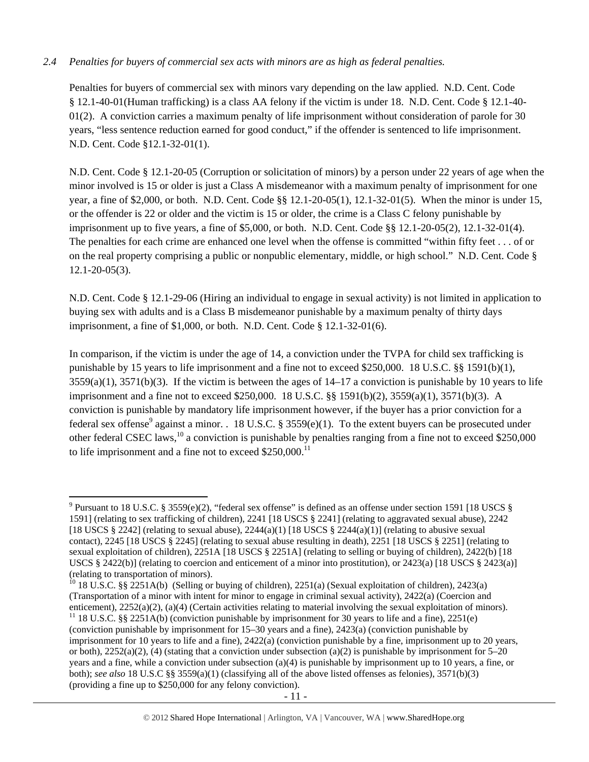# *2.4 Penalties for buyers of commercial sex acts with minors are as high as federal penalties.*

Penalties for buyers of commercial sex with minors vary depending on the law applied. N.D. Cent. Code § 12.1-40-01(Human trafficking) is a class AA felony if the victim is under 18. N.D. Cent. Code § 12.1-40- 01(2). A conviction carries a maximum penalty of life imprisonment without consideration of parole for 30 years, "less sentence reduction earned for good conduct," if the offender is sentenced to life imprisonment. N.D. Cent. Code §12.1-32-01(1).

N.D. Cent. Code § 12.1-20-05 (Corruption or solicitation of minors) by a person under 22 years of age when the minor involved is 15 or older is just a Class A misdemeanor with a maximum penalty of imprisonment for one year, a fine of \$2,000, or both. N.D. Cent. Code §§ 12.1-20-05(1), 12.1-32-01(5). When the minor is under 15, or the offender is 22 or older and the victim is 15 or older, the crime is a Class C felony punishable by imprisonment up to five years, a fine of \$5,000, or both. N.D. Cent. Code §§ 12.1-20-05(2), 12.1-32-01(4). The penalties for each crime are enhanced one level when the offense is committed "within fifty feet . . . of or on the real property comprising a public or nonpublic elementary, middle, or high school." N.D. Cent. Code § 12.1-20-05(3).

N.D. Cent. Code § 12.1-29-06 (Hiring an individual to engage in sexual activity) is not limited in application to buying sex with adults and is a Class B misdemeanor punishable by a maximum penalty of thirty days imprisonment, a fine of \$1,000, or both. N.D. Cent. Code § 12.1-32-01(6).

In comparison, if the victim is under the age of 14, a conviction under the TVPA for child sex trafficking is punishable by 15 years to life imprisonment and a fine not to exceed \$250,000. 18 U.S.C. §§ 1591(b)(1),  $3559(a)(1)$ ,  $3571(b)(3)$ . If the victim is between the ages of  $14-17$  a conviction is punishable by 10 years to life imprisonment and a fine not to exceed \$250,000. 18 U.S.C. §§ 1591(b)(2), 3559(a)(1), 3571(b)(3). A conviction is punishable by mandatory life imprisonment however, if the buyer has a prior conviction for a federal sex offense<sup>9</sup> against a minor. . 18 U.S.C. § 3559(e)(1). To the extent buyers can be prosecuted under other federal CSEC laws,<sup>10</sup> a conviction is punishable by penalties ranging from a fine not to exceed \$250,000 to life imprisonment and a fine not to exceed  $$250,000$ .<sup>11</sup>

<sup>&</sup>lt;sup>9</sup> Pursuant to 18 U.S.C. § 3559(e)(2), "federal sex offense" is defined as an offense under section 1591 [18 USCS § 1591] (relating to sex trafficking of children), 2241 [18 USCS § 2241] (relating to aggravated sexual abuse), 2242 [18 USCS § 2242] (relating to sexual abuse),  $2244(a)(1)$  [18 USCS § 2244(a)(1)] (relating to abusive sexual contact), 2245 [18 USCS § 2245] (relating to sexual abuse resulting in death), 2251 [18 USCS § 2251] (relating to sexual exploitation of children), 2251A [18 USCS § 2251A] (relating to selling or buying of children), 2422(b) [18 USCS § 2422(b)] (relating to coercion and enticement of a minor into prostitution), or 2423(a) [18 USCS § 2423(a)] (relating to transportation of minors).<br><sup>10</sup> 18 U.S.C. §§ 2251A(b) (Selling or buying of children), 2251(a) (Sexual exploitation of children), 2423(a)

<sup>(</sup>Transportation of a minor with intent for minor to engage in criminal sexual activity),  $2422(a)$  (Coercion and enticement),  $2252(a)(2)$ ,  $(a)(4)$  (Certain activities relating to material involving the sexual exploitation of

<sup>&</sup>lt;sup>11</sup> 18 U.S.C. §§ 2251A(b) (conviction punishable by imprisonment for 30 years to life and a fine), 2251(e) (conviction punishable by imprisonment for 15–30 years and a fine), 2423(a) (conviction punishable by imprisonment for 10 years to life and a fine), 2422(a) (conviction punishable by a fine, imprisonment up to 20 years, or both),  $2252(a)(2)$ , (4) (stating that a conviction under subsection (a)(2) is punishable by imprisonment for 5–20 years and a fine, while a conviction under subsection (a)(4) is punishable by imprisonment up to 10 years, a fine, or both); *see also* 18 U.S.C §§ 3559(a)(1) (classifying all of the above listed offenses as felonies), 3571(b)(3) (providing a fine up to \$250,000 for any felony conviction).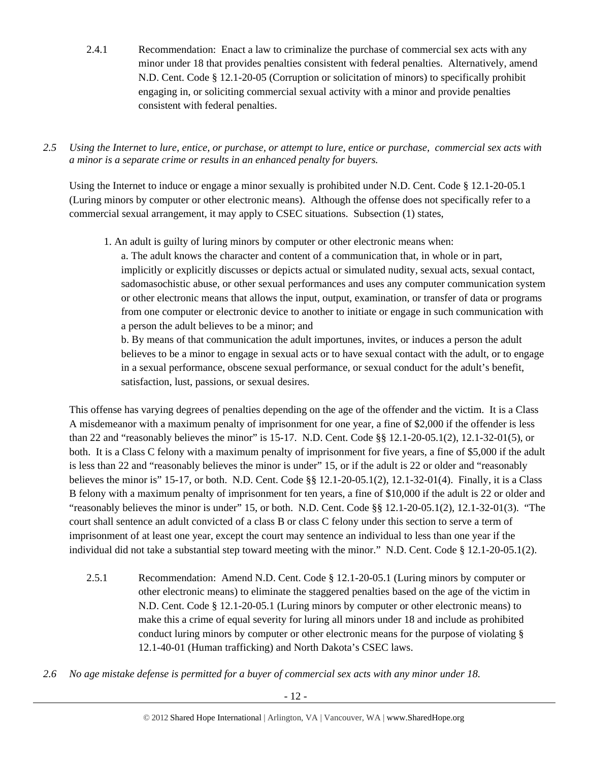2.4.1 Recommendation: Enact a law to criminalize the purchase of commercial sex acts with any minor under 18 that provides penalties consistent with federal penalties. Alternatively, amend N.D. Cent. Code § 12.1-20-05 (Corruption or solicitation of minors) to specifically prohibit engaging in, or soliciting commercial sexual activity with a minor and provide penalties consistent with federal penalties.

*2.5 Using the Internet to lure, entice, or purchase, or attempt to lure, entice or purchase, commercial sex acts with a minor is a separate crime or results in an enhanced penalty for buyers.* 

Using the Internet to induce or engage a minor sexually is prohibited under N.D. Cent. Code § 12.1-20-05.1 (Luring minors by computer or other electronic means). Although the offense does not specifically refer to a commercial sexual arrangement, it may apply to CSEC situations. Subsection (1) states,

1. An adult is guilty of luring minors by computer or other electronic means when:

a. The adult knows the character and content of a communication that, in whole or in part, implicitly or explicitly discusses or depicts actual or simulated nudity, sexual acts, sexual contact, sadomasochistic abuse, or other sexual performances and uses any computer communication system or other electronic means that allows the input, output, examination, or transfer of data or programs from one computer or electronic device to another to initiate or engage in such communication with a person the adult believes to be a minor; and

b. By means of that communication the adult importunes, invites, or induces a person the adult believes to be a minor to engage in sexual acts or to have sexual contact with the adult, or to engage in a sexual performance, obscene sexual performance, or sexual conduct for the adult's benefit, satisfaction, lust, passions, or sexual desires.

This offense has varying degrees of penalties depending on the age of the offender and the victim. It is a Class A misdemeanor with a maximum penalty of imprisonment for one year, a fine of \$2,000 if the offender is less than 22 and "reasonably believes the minor" is 15-17. N.D. Cent. Code §§ 12.1-20-05.1(2), 12.1-32-01(5), or both. It is a Class C felony with a maximum penalty of imprisonment for five years, a fine of \$5,000 if the adult is less than 22 and "reasonably believes the minor is under" 15, or if the adult is 22 or older and "reasonably believes the minor is" 15-17, or both. N.D. Cent. Code §§ 12.1-20-05.1(2), 12.1-32-01(4). Finally, it is a Class B felony with a maximum penalty of imprisonment for ten years, a fine of \$10,000 if the adult is 22 or older and "reasonably believes the minor is under" 15, or both. N.D. Cent. Code §§ 12.1-20-05.1(2), 12.1-32-01(3). "The court shall sentence an adult convicted of a class B or class C felony under this section to serve a term of imprisonment of at least one year, except the court may sentence an individual to less than one year if the individual did not take a substantial step toward meeting with the minor." N.D. Cent. Code § 12.1-20-05.1(2).

- 2.5.1 Recommendation: Amend N.D. Cent. Code § 12.1-20-05.1 (Luring minors by computer or other electronic means) to eliminate the staggered penalties based on the age of the victim in N.D. Cent. Code § 12.1-20-05.1 (Luring minors by computer or other electronic means) to make this a crime of equal severity for luring all minors under 18 and include as prohibited conduct luring minors by computer or other electronic means for the purpose of violating § 12.1-40-01 (Human trafficking) and North Dakota's CSEC laws.
- *2.6 No age mistake defense is permitted for a buyer of commercial sex acts with any minor under 18.*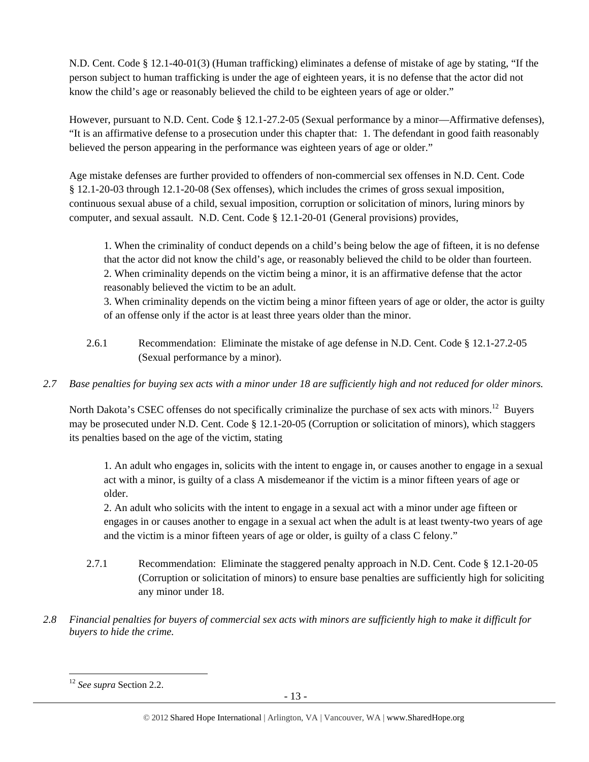N.D. Cent. Code § 12.1-40-01(3) (Human trafficking) eliminates a defense of mistake of age by stating, "If the person subject to human trafficking is under the age of eighteen years, it is no defense that the actor did not know the child's age or reasonably believed the child to be eighteen years of age or older."

However, pursuant to N.D. Cent. Code § 12.1-27.2-05 (Sexual performance by a minor—Affirmative defenses), "It is an affirmative defense to a prosecution under this chapter that: 1. The defendant in good faith reasonably believed the person appearing in the performance was eighteen years of age or older."

Age mistake defenses are further provided to offenders of non-commercial sex offenses in N.D. Cent. Code § 12.1-20-03 through 12.1-20-08 (Sex offenses), which includes the crimes of gross sexual imposition, continuous sexual abuse of a child, sexual imposition, corruption or solicitation of minors, luring minors by computer, and sexual assault. N.D. Cent. Code § 12.1-20-01 (General provisions) provides,

1. When the criminality of conduct depends on a child's being below the age of fifteen, it is no defense that the actor did not know the child's age, or reasonably believed the child to be older than fourteen. 2. When criminality depends on the victim being a minor, it is an affirmative defense that the actor reasonably believed the victim to be an adult.

3. When criminality depends on the victim being a minor fifteen years of age or older, the actor is guilty of an offense only if the actor is at least three years older than the minor.

- 2.6.1 Recommendation: Eliminate the mistake of age defense in N.D. Cent. Code § 12.1-27.2-05 (Sexual performance by a minor).
- *2.7 Base penalties for buying sex acts with a minor under 18 are sufficiently high and not reduced for older minors.*

North Dakota's CSEC offenses do not specifically criminalize the purchase of sex acts with minors.<sup>12</sup> Buyers may be prosecuted under N.D. Cent. Code § 12.1-20-05 (Corruption or solicitation of minors), which staggers its penalties based on the age of the victim, stating

1. An adult who engages in, solicits with the intent to engage in, or causes another to engage in a sexual act with a minor, is guilty of a class A misdemeanor if the victim is a minor fifteen years of age or older.

2. An adult who solicits with the intent to engage in a sexual act with a minor under age fifteen or engages in or causes another to engage in a sexual act when the adult is at least twenty-two years of age and the victim is a minor fifteen years of age or older, is guilty of a class C felony."

- 2.7.1 Recommendation: Eliminate the staggered penalty approach in N.D. Cent. Code § 12.1-20-05 (Corruption or solicitation of minors) to ensure base penalties are sufficiently high for soliciting any minor under 18.
- *2.8 Financial penalties for buyers of commercial sex acts with minors are sufficiently high to make it difficult for buyers to hide the crime.*

 <sup>12</sup> *See supra* Section 2.2.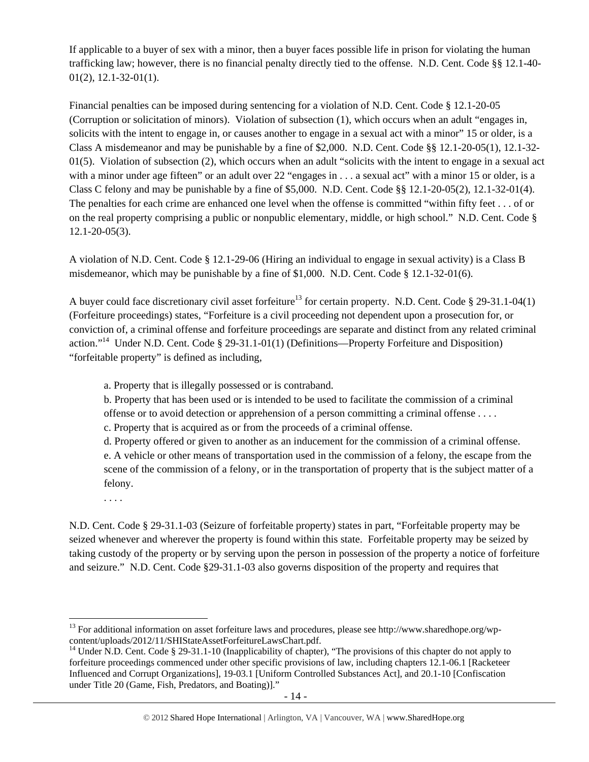If applicable to a buyer of sex with a minor, then a buyer faces possible life in prison for violating the human trafficking law; however, there is no financial penalty directly tied to the offense. N.D. Cent. Code §§ 12.1-40- 01(2), 12.1-32-01(1).

Financial penalties can be imposed during sentencing for a violation of N.D. Cent. Code § 12.1-20-05 (Corruption or solicitation of minors). Violation of subsection (1), which occurs when an adult "engages in, solicits with the intent to engage in, or causes another to engage in a sexual act with a minor" 15 or older, is a Class A misdemeanor and may be punishable by a fine of \$2,000. N.D. Cent. Code §§ 12.1-20-05(1), 12.1-32-  $01(5)$ . Violation of subsection (2), which occurs when an adult "solicits with the intent to engage in a sexual act with a minor under age fifteen" or an adult over 22 "engages in . . . a sexual act" with a minor 15 or older, is a Class C felony and may be punishable by a fine of  $$5,000$ . N.D. Cent. Code  $§$ § 12.1-20-05(2), 12.1-32-01(4). The penalties for each crime are enhanced one level when the offense is committed "within fifty feet . . . of or on the real property comprising a public or nonpublic elementary, middle, or high school." N.D. Cent. Code § 12.1-20-05(3).

A violation of N.D. Cent. Code § 12.1-29-06 (Hiring an individual to engage in sexual activity) is a Class B misdemeanor, which may be punishable by a fine of \$1,000. N.D. Cent. Code § 12.1-32-01(6).

A buyer could face discretionary civil asset forfeiture<sup>13</sup> for certain property. N.D. Cent. Code § 29-31.1-04(1) (Forfeiture proceedings) states, "Forfeiture is a civil proceeding not dependent upon a prosecution for, or conviction of, a criminal offense and forfeiture proceedings are separate and distinct from any related criminal action."14 Under N.D. Cent. Code § 29-31.1-01(1) (Definitions—Property Forfeiture and Disposition) "forfeitable property" is defined as including,

a. Property that is illegally possessed or is contraband.

b. Property that has been used or is intended to be used to facilitate the commission of a criminal offense or to avoid detection or apprehension of a person committing a criminal offense . . . .

c. Property that is acquired as or from the proceeds of a criminal offense.

d. Property offered or given to another as an inducement for the commission of a criminal offense. e. A vehicle or other means of transportation used in the commission of a felony, the escape from the scene of the commission of a felony, or in the transportation of property that is the subject matter of a felony.

. . . .

N.D. Cent. Code § 29-31.1-03 (Seizure of forfeitable property) states in part, "Forfeitable property may be seized whenever and wherever the property is found within this state. Forfeitable property may be seized by taking custody of the property or by serving upon the person in possession of the property a notice of forfeiture and seizure." N.D. Cent. Code §29-31.1-03 also governs disposition of the property and requires that

<sup>&</sup>lt;sup>13</sup> For additional information on asset forfeiture laws and procedures, please see http://www.sharedhope.org/wp-content/uploads/2012/11/SHIStateAssetForfeitureLawsChart.pdf.

<sup>&</sup>lt;sup>14</sup> Under N.D. Cent. Code § 29-31.1-10 (Inapplicability of chapter), "The provisions of this chapter do not apply to forfeiture proceedings commenced under other specific provisions of law, including chapters 12.1-06.1 [Racketeer Influenced and Corrupt Organizations], 19-03.1 [Uniform Controlled Substances Act], and 20.1-10 [Confiscation under Title 20 (Game, Fish, Predators, and Boating)]."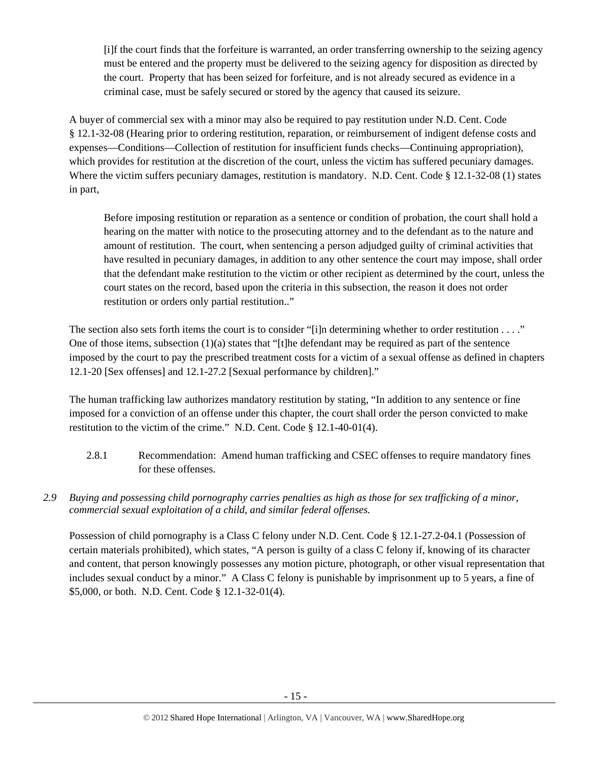[i]f the court finds that the forfeiture is warranted, an order transferring ownership to the seizing agency must be entered and the property must be delivered to the seizing agency for disposition as directed by the court. Property that has been seized for forfeiture, and is not already secured as evidence in a criminal case, must be safely secured or stored by the agency that caused its seizure.

A buyer of commercial sex with a minor may also be required to pay restitution under N.D. Cent. Code § 12.1-32-08 (Hearing prior to ordering restitution, reparation, or reimbursement of indigent defense costs and expenses—Conditions—Collection of restitution for insufficient funds checks—Continuing appropriation), which provides for restitution at the discretion of the court, unless the victim has suffered pecuniary damages. Where the victim suffers pecuniary damages, restitution is mandatory. N.D. Cent. Code § 12.1-32-08 (1) states in part,

Before imposing restitution or reparation as a sentence or condition of probation, the court shall hold a hearing on the matter with notice to the prosecuting attorney and to the defendant as to the nature and amount of restitution. The court, when sentencing a person adjudged guilty of criminal activities that have resulted in pecuniary damages, in addition to any other sentence the court may impose, shall order that the defendant make restitution to the victim or other recipient as determined by the court, unless the court states on the record, based upon the criteria in this subsection, the reason it does not order restitution or orders only partial restitution.."

The section also sets forth items the court is to consider "[i]n determining whether to order restitution  $\dots$ ." One of those items, subsection (1)(a) states that "[t]he defendant may be required as part of the sentence imposed by the court to pay the prescribed treatment costs for a victim of a sexual offense as defined in chapters 12.1-20 [Sex offenses] and 12.1-27.2 [Sexual performance by children]."

The human trafficking law authorizes mandatory restitution by stating, "In addition to any sentence or fine imposed for a conviction of an offense under this chapter, the court shall order the person convicted to make restitution to the victim of the crime." N.D. Cent. Code § 12.1-40-01(4).

- 2.8.1 Recommendation: Amend human trafficking and CSEC offenses to require mandatory fines for these offenses.
- *2.9 Buying and possessing child pornography carries penalties as high as those for sex trafficking of a minor, commercial sexual exploitation of a child, and similar federal offenses.*

Possession of child pornography is a Class C felony under N.D. Cent. Code § 12.1-27.2-04.1 (Possession of certain materials prohibited), which states, "A person is guilty of a class C felony if, knowing of its character and content, that person knowingly possesses any motion picture, photograph, or other visual representation that includes sexual conduct by a minor." A Class C felony is punishable by imprisonment up to 5 years, a fine of \$5,000, or both. N.D. Cent. Code § 12.1-32-01(4).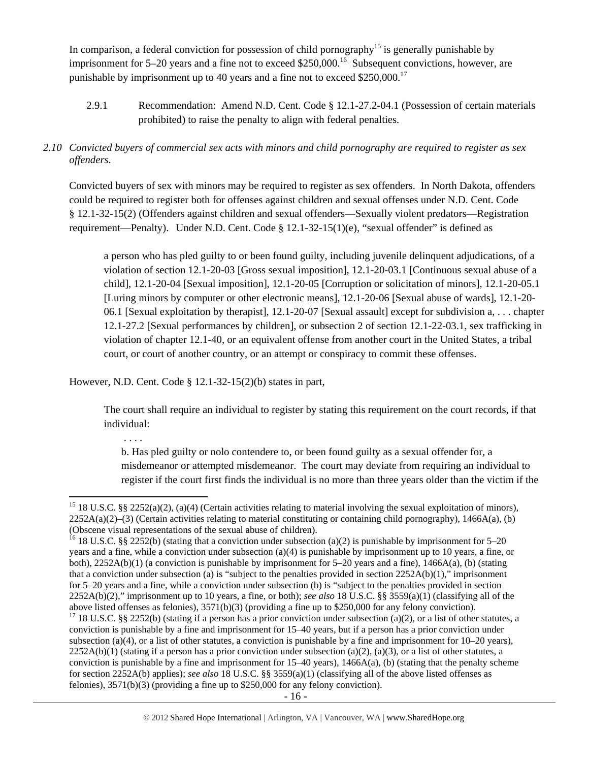In comparison, a federal conviction for possession of child pornography<sup>15</sup> is generally punishable by imprisonment for  $5-20$  years and a fine not to exceed \$250,000.<sup>16</sup> Subsequent convictions, however, are punishable by imprisonment up to 40 years and a fine not to exceed  $$250,000$ <sup>17</sup>

2.9.1 Recommendation: Amend N.D. Cent. Code § 12.1-27.2-04.1 (Possession of certain materials prohibited) to raise the penalty to align with federal penalties.

# *2.10 Convicted buyers of commercial sex acts with minors and child pornography are required to register as sex offenders.*

Convicted buyers of sex with minors may be required to register as sex offenders. In North Dakota, offenders could be required to register both for offenses against children and sexual offenses under N.D. Cent. Code § 12.1-32-15(2) (Offenders against children and sexual offenders—Sexually violent predators—Registration requirement—Penalty). Under N.D. Cent. Code § 12.1-32-15(1)(e), "sexual offender" is defined as

a person who has pled guilty to or been found guilty, including juvenile delinquent adjudications, of a violation of section 12.1-20-03 [Gross sexual imposition], 12.1-20-03.1 [Continuous sexual abuse of a child], 12.1-20-04 [Sexual imposition], 12.1-20-05 [Corruption or solicitation of minors], 12.1-20-05.1 [Luring minors by computer or other electronic means], 12.1-20-06 [Sexual abuse of wards], 12.1-20- 06.1 [Sexual exploitation by therapist], 12.1-20-07 [Sexual assault] except for subdivision a, . . . chapter 12.1-27.2 [Sexual performances by children], or subsection 2 of section 12.1-22-03.1, sex trafficking in violation of chapter 12.1-40, or an equivalent offense from another court in the United States, a tribal court, or court of another country, or an attempt or conspiracy to commit these offenses.

However, N.D. Cent. Code § 12.1-32-15(2)(b) states in part,

The court shall require an individual to register by stating this requirement on the court records, if that individual:

. . . .

b. Has pled guilty or nolo contendere to, or been found guilty as a sexual offender for, a misdemeanor or attempted misdemeanor. The court may deviate from requiring an individual to register if the court first finds the individual is no more than three years older than the victim if the

<sup>&</sup>lt;sup>15</sup> 18 U.S.C. §§ 2252(a)(2), (a)(4) (Certain activities relating to material involving the sexual exploitation of minors),  $2252A(a)(2)$ –(3) (Certain activities relating to material constituting or containing child pornography), 1466A(a), (b) (Obscene visual representations of the sexual abuse of children).

<sup>&</sup>lt;sup>16</sup> 18 U.S.C. §§ 2252(b) (stating that a conviction under subsection (a)(2) is punishable by imprisonment for 5–20 years and a fine, while a conviction under subsection (a)(4) is punishable by imprisonment up to 10 years, a fine, or both), 2252A(b)(1) (a conviction is punishable by imprisonment for 5–20 years and a fine), 1466A(a), (b) (stating that a conviction under subsection (a) is "subject to the penalties provided in section 2252A(b)(1)," imprisonment for 5–20 years and a fine, while a conviction under subsection (b) is "subject to the penalties provided in section 2252A(b)(2)," imprisonment up to 10 years, a fine, or both); *see also* 18 U.S.C. §§ 3559(a)(1) (classifying all of the above listed offenses as felonies), 3571(b)(3) (providing a fine up to \$250,000 for any felony conviction).

<sup>&</sup>lt;sup>17</sup> 18 U.S.C. §§ 2252(b) (stating if a person has a prior conviction under subsection (a)(2), or a list of other statutes, a conviction is punishable by a fine and imprisonment for 15–40 years, but if a person has a prior conviction under subsection (a)(4), or a list of other statutes, a conviction is punishable by a fine and imprisonment for  $10-20$  years),  $2252A(b)(1)$  (stating if a person has a prior conviction under subsection (a)(2), (a)(3), or a list of other statutes, a conviction is punishable by a fine and imprisonment for  $15-40$  years),  $1466A(a)$ , (b) (stating that the penalty scheme for section 2252A(b) applies); *see also* 18 U.S.C. §§ 3559(a)(1) (classifying all of the above listed offenses as felonies), 3571(b)(3) (providing a fine up to \$250,000 for any felony conviction).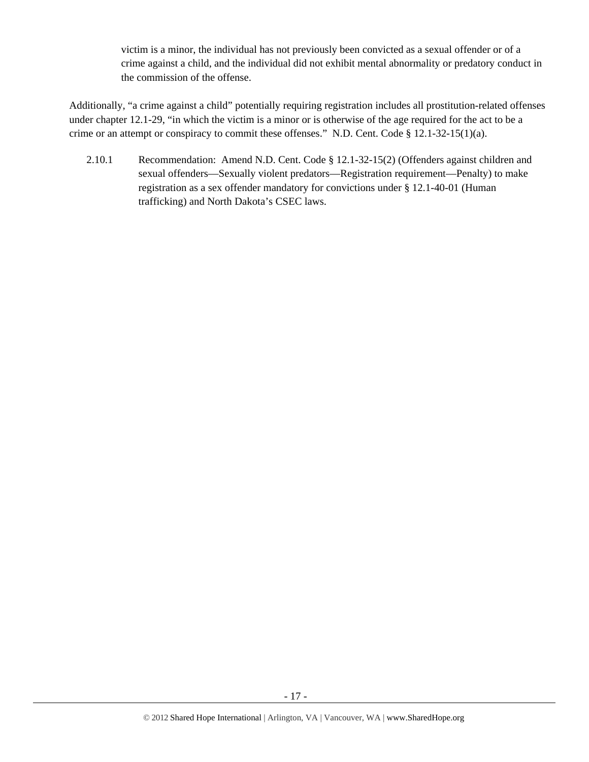victim is a minor, the individual has not previously been convicted as a sexual offender or of a crime against a child, and the individual did not exhibit mental abnormality or predatory conduct in the commission of the offense.

Additionally, "a crime against a child" potentially requiring registration includes all prostitution-related offenses under chapter 12.1-29, "in which the victim is a minor or is otherwise of the age required for the act to be a crime or an attempt or conspiracy to commit these offenses." N.D. Cent. Code § 12.1-32-15(1)(a).

2.10.1 Recommendation: Amend N.D. Cent. Code § 12.1-32-15(2) (Offenders against children and sexual offenders—Sexually violent predators—Registration requirement—Penalty) to make registration as a sex offender mandatory for convictions under § 12.1-40-01 (Human trafficking) and North Dakota's CSEC laws.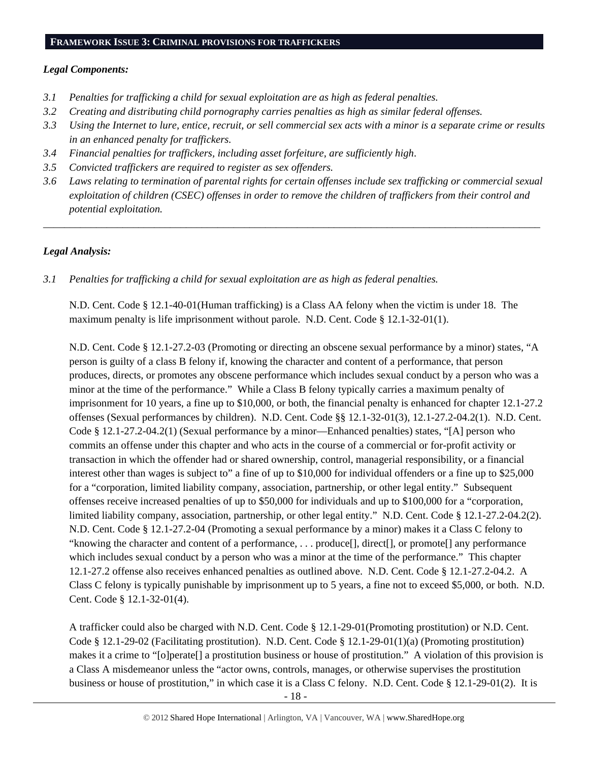#### **FRAMEWORK ISSUE 3: CRIMINAL PROVISIONS FOR TRAFFICKERS**

#### *Legal Components:*

- *3.1 Penalties for trafficking a child for sexual exploitation are as high as federal penalties.*
- *3.2 Creating and distributing child pornography carries penalties as high as similar federal offenses.*
- *3.3 Using the Internet to lure, entice, recruit, or sell commercial sex acts with a minor is a separate crime or results in an enhanced penalty for traffickers.*
- *3.4 Financial penalties for traffickers, including asset forfeiture, are sufficiently high*.
- *3.5 Convicted traffickers are required to register as sex offenders.*
- *3.6 Laws relating to termination of parental rights for certain offenses include sex trafficking or commercial sexual exploitation of children (CSEC) offenses in order to remove the children of traffickers from their control and potential exploitation.*

*\_\_\_\_\_\_\_\_\_\_\_\_\_\_\_\_\_\_\_\_\_\_\_\_\_\_\_\_\_\_\_\_\_\_\_\_\_\_\_\_\_\_\_\_\_\_\_\_\_\_\_\_\_\_\_\_\_\_\_\_\_\_\_\_\_\_\_\_\_\_\_\_\_\_\_\_\_\_\_\_\_\_\_\_\_\_\_\_\_\_\_\_\_\_* 

# *Legal Analysis:*

*3.1 Penalties for trafficking a child for sexual exploitation are as high as federal penalties.* 

N.D. Cent. Code § 12.1-40-01(Human trafficking) is a Class AA felony when the victim is under 18. The maximum penalty is life imprisonment without parole. N.D. Cent. Code § 12.1-32-01(1).

N.D. Cent. Code § 12.1-27.2-03 (Promoting or directing an obscene sexual performance by a minor) states, "A person is guilty of a class B felony if, knowing the character and content of a performance, that person produces, directs, or promotes any obscene performance which includes sexual conduct by a person who was a minor at the time of the performance." While a Class B felony typically carries a maximum penalty of imprisonment for 10 years, a fine up to \$10,000, or both, the financial penalty is enhanced for chapter 12.1-27.2 offenses (Sexual performances by children). N.D. Cent. Code §§ 12.1-32-01(3), 12.1-27.2-04.2(1). N.D. Cent. Code § 12.1-27.2-04.2(1) (Sexual performance by a minor—Enhanced penalties) states, "[A] person who commits an offense under this chapter and who acts in the course of a commercial or for-profit activity or transaction in which the offender had or shared ownership, control, managerial responsibility, or a financial interest other than wages is subject to" a fine of up to \$10,000 for individual offenders or a fine up to \$25,000 for a "corporation, limited liability company, association, partnership, or other legal entity." Subsequent offenses receive increased penalties of up to \$50,000 for individuals and up to \$100,000 for a "corporation, limited liability company, association, partnership, or other legal entity." N.D. Cent. Code § 12.1-27.2-04.2(2). N.D. Cent. Code § 12.1-27.2-04 (Promoting a sexual performance by a minor) makes it a Class C felony to "knowing the character and content of a performance, . . . produce[], direct[], or promote[] any performance which includes sexual conduct by a person who was a minor at the time of the performance." This chapter 12.1-27.2 offense also receives enhanced penalties as outlined above. N.D. Cent. Code § 12.1-27.2-04.2. A Class C felony is typically punishable by imprisonment up to 5 years, a fine not to exceed \$5,000, or both. N.D. Cent. Code § 12.1-32-01(4).

A trafficker could also be charged with N.D. Cent. Code § 12.1-29-01(Promoting prostitution) or N.D. Cent. Code § 12.1-29-02 (Facilitating prostitution). N.D. Cent. Code § 12.1-29-01(1)(a) (Promoting prostitution) makes it a crime to "[o]perate[] a prostitution business or house of prostitution." A violation of this provision is a Class A misdemeanor unless the "actor owns, controls, manages, or otherwise supervises the prostitution business or house of prostitution," in which case it is a Class C felony. N.D. Cent. Code § 12.1-29-01(2). It is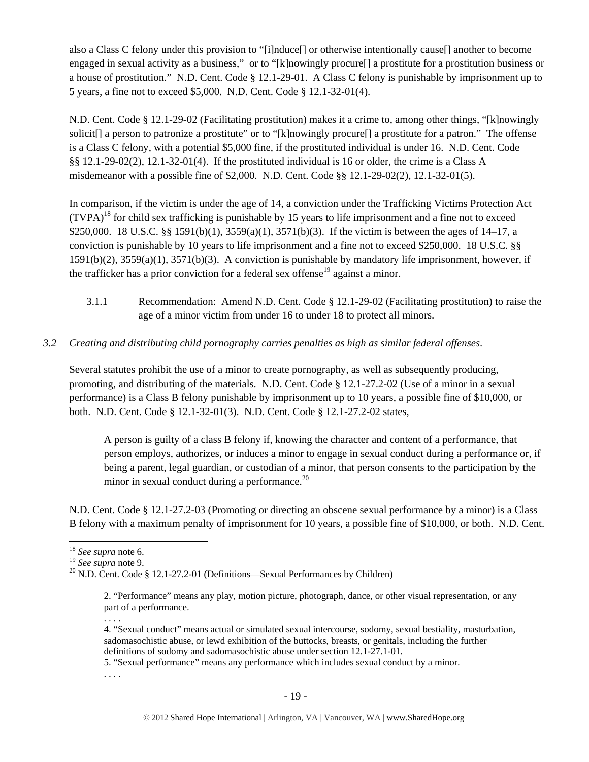also a Class C felony under this provision to "[i]nduce[] or otherwise intentionally cause[] another to become engaged in sexual activity as a business," or to "[k]nowingly procure[] a prostitute for a prostitution business or a house of prostitution." N.D. Cent. Code § 12.1-29-01. A Class C felony is punishable by imprisonment up to 5 years, a fine not to exceed \$5,000. N.D. Cent. Code § 12.1-32-01(4).

N.D. Cent. Code § 12.1-29-02 (Facilitating prostitution) makes it a crime to, among other things, "[k]nowingly solicit[] a person to patronize a prostitute" or to "[k]nowingly procure[] a prostitute for a patron." The offense is a Class C felony, with a potential \$5,000 fine, if the prostituted individual is under 16. N.D. Cent. Code §§ 12.1-29-02(2), 12.1-32-01(4). If the prostituted individual is 16 or older, the crime is a Class A misdemeanor with a possible fine of \$2,000. N.D. Cent. Code §§ 12.1-29-02(2), 12.1-32-01(5).

In comparison, if the victim is under the age of 14, a conviction under the Trafficking Victims Protection Act  $(TVPA)<sup>18</sup>$  for child sex trafficking is punishable by 15 years to life imprisonment and a fine not to exceed \$250,000. 18 U.S.C. §§ 1591(b)(1), 3559(a)(1), 3571(b)(3). If the victim is between the ages of 14–17, a conviction is punishable by 10 years to life imprisonment and a fine not to exceed \$250,000. 18 U.S.C. §§ 1591(b)(2), 3559(a)(1), 3571(b)(3). A conviction is punishable by mandatory life imprisonment, however, if the trafficker has a prior conviction for a federal sex offense<sup>19</sup> against a minor.

- 3.1.1 Recommendation: Amend N.D. Cent. Code § 12.1-29-02 (Facilitating prostitution) to raise the age of a minor victim from under 16 to under 18 to protect all minors.
- *3.2 Creating and distributing child pornography carries penalties as high as similar federal offenses*.

Several statutes prohibit the use of a minor to create pornography, as well as subsequently producing, promoting, and distributing of the materials. N.D. Cent. Code § 12.1-27.2-02 (Use of a minor in a sexual performance) is a Class B felony punishable by imprisonment up to 10 years, a possible fine of \$10,000, or both. N.D. Cent. Code § 12.1-32-01(3). N.D. Cent. Code § 12.1-27.2-02 states,

A person is guilty of a class B felony if, knowing the character and content of a performance, that person employs, authorizes, or induces a minor to engage in sexual conduct during a performance or, if being a parent, legal guardian, or custodian of a minor, that person consents to the participation by the minor in sexual conduct during a performance.<sup>20</sup>

N.D. Cent. Code § 12.1-27.2-03 (Promoting or directing an obscene sexual performance by a minor) is a Class B felony with a maximum penalty of imprisonment for 10 years, a possible fine of \$10,000, or both. N.D. Cent.

. . . .

5. "Sexual performance" means any performance which includes sexual conduct by a minor.

. . . .

<sup>&</sup>lt;sup>18</sup> *See supra* note 6.<br><sup>19</sup> *See supra* note 9.

<sup>&</sup>lt;sup>20</sup> N.D. Cent. Code § 12.1-27.2-01 (Definitions—Sexual Performances by Children)

<sup>2. &</sup>quot;Performance" means any play, motion picture, photograph, dance, or other visual representation, or any part of a performance.

<sup>4. &</sup>quot;Sexual conduct" means actual or simulated sexual intercourse, sodomy, sexual bestiality, masturbation, sadomasochistic abuse, or lewd exhibition of the buttocks, breasts, or genitals, including the further definitions of sodomy and sadomasochistic abuse under section 12.1-27.1-01.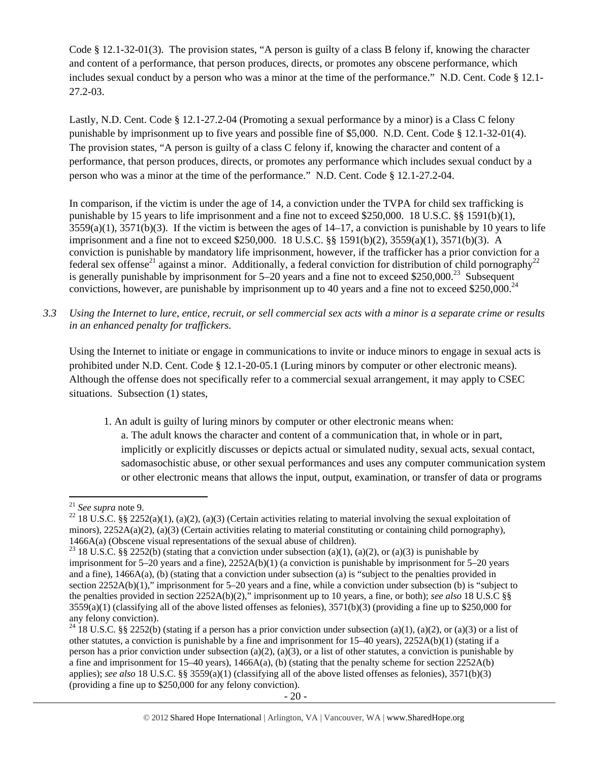Code § 12.1-32-01(3). The provision states, "A person is guilty of a class B felony if, knowing the character and content of a performance, that person produces, directs, or promotes any obscene performance, which includes sexual conduct by a person who was a minor at the time of the performance." N.D. Cent. Code § 12.1- 27.2-03.

Lastly, N.D. Cent. Code § 12.1-27.2-04 (Promoting a sexual performance by a minor) is a Class C felony punishable by imprisonment up to five years and possible fine of \$5,000. N.D. Cent. Code § 12.1-32-01(4). The provision states, "A person is guilty of a class C felony if, knowing the character and content of a performance, that person produces, directs, or promotes any performance which includes sexual conduct by a person who was a minor at the time of the performance." N.D. Cent. Code § 12.1-27.2-04.

In comparison, if the victim is under the age of 14, a conviction under the TVPA for child sex trafficking is punishable by 15 years to life imprisonment and a fine not to exceed \$250,000. 18 U.S.C. §§ 1591(b)(1),  $3559(a)(1)$ ,  $3571(b)(3)$ . If the victim is between the ages of  $14-17$ , a conviction is punishable by 10 years to life imprisonment and a fine not to exceed \$250,000. 18 U.S.C. §§ 1591(b)(2), 3559(a)(1), 3571(b)(3). A conviction is punishable by mandatory life imprisonment, however, if the trafficker has a prior conviction for a federal sex offense<sup>21</sup> against a minor. Additionally, a federal conviction for distribution of child pornography<sup>22</sup> is generally punishable by imprisonment for  $5-20$  years and a fine not to exceed \$250,000.<sup>23</sup> Subsequent convictions, however, are punishable by imprisonment up to 40 years and a fine not to exceed \$250,000.<sup>24</sup>

*3.3 Using the Internet to lure, entice, recruit, or sell commercial sex acts with a minor is a separate crime or results in an enhanced penalty for traffickers.* 

Using the Internet to initiate or engage in communications to invite or induce minors to engage in sexual acts is prohibited under N.D. Cent. Code § 12.1-20-05.1 (Luring minors by computer or other electronic means). Although the offense does not specifically refer to a commercial sexual arrangement, it may apply to CSEC situations. Subsection (1) states,

1. An adult is guilty of luring minors by computer or other electronic means when:

a. The adult knows the character and content of a communication that, in whole or in part, implicitly or explicitly discusses or depicts actual or simulated nudity, sexual acts, sexual contact, sadomasochistic abuse, or other sexual performances and uses any computer communication system or other electronic means that allows the input, output, examination, or transfer of data or programs

<sup>&</sup>lt;sup>21</sup> *See supra* note 9.<br><sup>22</sup> 18 U.S.C. §§ 2252(a)(1), (a)(2), (a)(3) (Certain activities relating to material involving the sexual exploitation of minors),  $2252A(a)(2)$ , (a)(3) (Certain activities relating to material constituting or containing child pornography),

<sup>1466</sup>A(a) (Obscene visual representations of the sexual abuse of children).<br><sup>23</sup> 18 U.S.C. §§ 2252(b) (stating that a conviction under subsection (a)(1), (a)(2), or (a)(3) is punishable by imprisonment for 5–20 years and a fine), 2252A(b)(1) (a conviction is punishable by imprisonment for 5–20 years and a fine), 1466A(a), (b) (stating that a conviction under subsection (a) is "subject to the penalties provided in section 2252A(b)(1)," imprisonment for 5–20 years and a fine, while a conviction under subsection (b) is "subject to the penalties provided in section 2252A(b)(2)," imprisonment up to 10 years, a fine, or both); *see also* 18 U.S.C §§  $3559(a)(1)$  (classifying all of the above listed offenses as felonies),  $3571(b)(3)$  (providing a fine up to \$250,000 for any felony conviction).

<sup>&</sup>lt;sup>24</sup> 18 U.S.C. §§ 2252(b) (stating if a person has a prior conviction under subsection (a)(1), (a)(2), or (a)(3) or a list of other statutes, a conviction is punishable by a fine and imprisonment for 15–40 years), 2252A(b)(1) (stating if a person has a prior conviction under subsection (a)(2), (a)(3), or a list of other statutes, a conviction is punishable by a fine and imprisonment for 15–40 years), 1466A(a), (b) (stating that the penalty scheme for section 2252A(b) applies); *see also* 18 U.S.C. §§ 3559(a)(1) (classifying all of the above listed offenses as felonies), 3571(b)(3) (providing a fine up to \$250,000 for any felony conviction).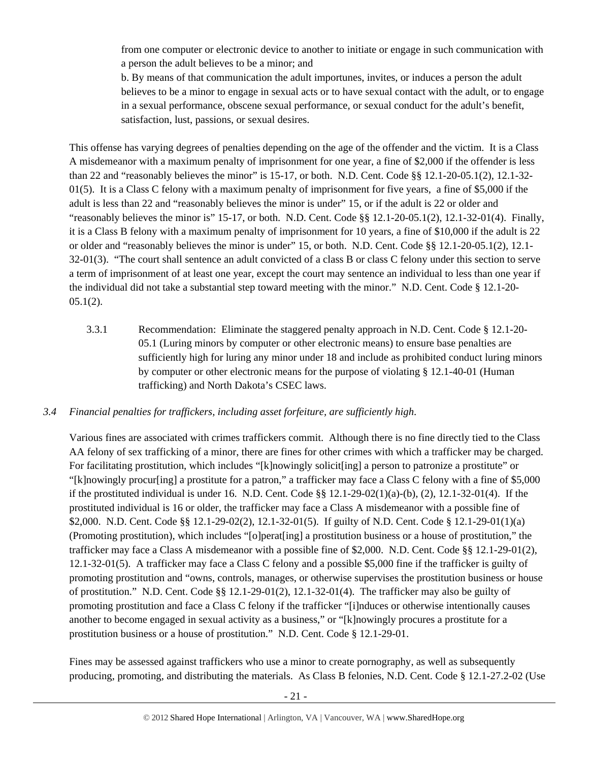from one computer or electronic device to another to initiate or engage in such communication with a person the adult believes to be a minor; and

b. By means of that communication the adult importunes, invites, or induces a person the adult believes to be a minor to engage in sexual acts or to have sexual contact with the adult, or to engage in a sexual performance, obscene sexual performance, or sexual conduct for the adult's benefit, satisfaction, lust, passions, or sexual desires.

This offense has varying degrees of penalties depending on the age of the offender and the victim. It is a Class A misdemeanor with a maximum penalty of imprisonment for one year, a fine of \$2,000 if the offender is less than 22 and "reasonably believes the minor" is 15-17, or both. N.D. Cent. Code §§ 12.1-20-05.1(2), 12.1-32-  $01(5)$ . It is a Class C felony with a maximum penalty of imprisonment for five years, a fine of \$5,000 if the adult is less than 22 and "reasonably believes the minor is under" 15, or if the adult is 22 or older and "reasonably believes the minor is" 15-17, or both. N.D. Cent. Code §§ 12.1-20-05.1(2), 12.1-32-01(4). Finally, it is a Class B felony with a maximum penalty of imprisonment for 10 years, a fine of \$10,000 if the adult is 22 or older and "reasonably believes the minor is under" 15, or both. N.D. Cent. Code §§ 12.1-20-05.1(2), 12.1- 32-01(3). "The court shall sentence an adult convicted of a class B or class C felony under this section to serve a term of imprisonment of at least one year, except the court may sentence an individual to less than one year if the individual did not take a substantial step toward meeting with the minor." N.D. Cent. Code § 12.1-20-  $05.1(2)$ .

3.3.1 Recommendation: Eliminate the staggered penalty approach in N.D. Cent. Code § 12.1-20- 05.1 (Luring minors by computer or other electronic means) to ensure base penalties are sufficiently high for luring any minor under 18 and include as prohibited conduct luring minors by computer or other electronic means for the purpose of violating § 12.1-40-01 (Human trafficking) and North Dakota's CSEC laws.

# *3.4 Financial penalties for traffickers, including asset forfeiture, are sufficiently high*.

Various fines are associated with crimes traffickers commit. Although there is no fine directly tied to the Class AA felony of sex trafficking of a minor, there are fines for other crimes with which a trafficker may be charged. For facilitating prostitution, which includes "[k]nowingly solicit[ing] a person to patronize a prostitute" or "[k]nowingly procur[ing] a prostitute for a patron," a trafficker may face a Class C felony with a fine of \$5,000 if the prostituted individual is under 16. N.D. Cent. Code  $\S$ § 12.1-29-02(1)(a)-(b), (2), 12.1-32-01(4). If the prostituted individual is 16 or older, the trafficker may face a Class A misdemeanor with a possible fine of \$2,000. N.D. Cent. Code §§ 12.1-29-02(2), 12.1-32-01(5). If guilty of N.D. Cent. Code § 12.1-29-01(1)(a) (Promoting prostitution), which includes "[o]perat[ing] a prostitution business or a house of prostitution," the trafficker may face a Class A misdemeanor with a possible fine of \$2,000. N.D. Cent. Code §§ 12.1-29-01(2), 12.1-32-01(5). A trafficker may face a Class C felony and a possible \$5,000 fine if the trafficker is guilty of promoting prostitution and "owns, controls, manages, or otherwise supervises the prostitution business or house of prostitution." N.D. Cent. Code §§ 12.1-29-01(2), 12.1-32-01(4). The trafficker may also be guilty of promoting prostitution and face a Class C felony if the trafficker "[i]nduces or otherwise intentionally causes another to become engaged in sexual activity as a business," or "[k]nowingly procures a prostitute for a prostitution business or a house of prostitution." N.D. Cent. Code § 12.1-29-01.

Fines may be assessed against traffickers who use a minor to create pornography, as well as subsequently producing, promoting, and distributing the materials. As Class B felonies, N.D. Cent. Code § 12.1-27.2-02 (Use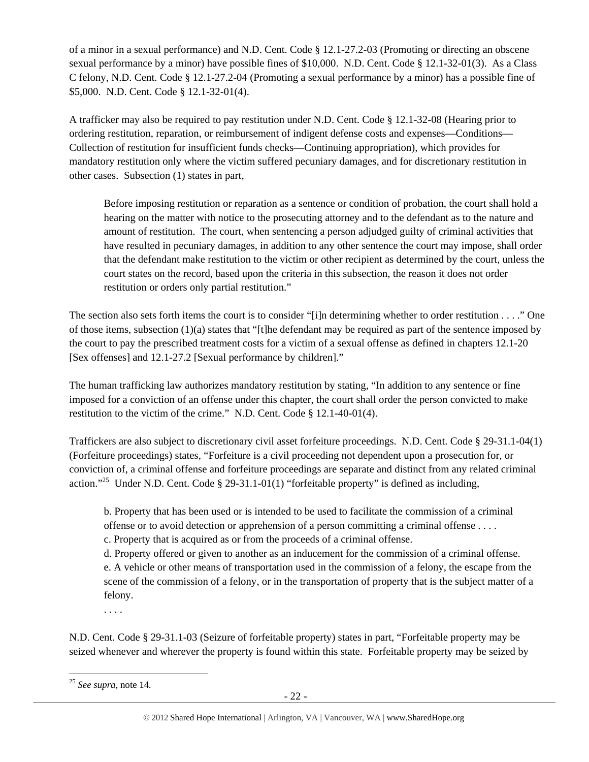of a minor in a sexual performance) and N.D. Cent. Code § 12.1-27.2-03 (Promoting or directing an obscene sexual performance by a minor) have possible fines of \$10,000. N.D. Cent. Code § 12.1-32-01(3). As a Class C felony, N.D. Cent. Code § 12.1-27.2-04 (Promoting a sexual performance by a minor) has a possible fine of \$5,000. N.D. Cent. Code § 12.1-32-01(4).

A trafficker may also be required to pay restitution under N.D. Cent. Code § 12.1-32-08 (Hearing prior to ordering restitution, reparation, or reimbursement of indigent defense costs and expenses—Conditions— Collection of restitution for insufficient funds checks—Continuing appropriation), which provides for mandatory restitution only where the victim suffered pecuniary damages, and for discretionary restitution in other cases. Subsection (1) states in part,

Before imposing restitution or reparation as a sentence or condition of probation, the court shall hold a hearing on the matter with notice to the prosecuting attorney and to the defendant as to the nature and amount of restitution. The court, when sentencing a person adjudged guilty of criminal activities that have resulted in pecuniary damages, in addition to any other sentence the court may impose, shall order that the defendant make restitution to the victim or other recipient as determined by the court, unless the court states on the record, based upon the criteria in this subsection, the reason it does not order restitution or orders only partial restitution."

The section also sets forth items the court is to consider "[i]n determining whether to order restitution . . . ." One of those items, subsection (1)(a) states that "[t]he defendant may be required as part of the sentence imposed by the court to pay the prescribed treatment costs for a victim of a sexual offense as defined in chapters 12.1-20 [Sex offenses] and 12.1-27.2 [Sexual performance by children]."

The human trafficking law authorizes mandatory restitution by stating, "In addition to any sentence or fine imposed for a conviction of an offense under this chapter, the court shall order the person convicted to make restitution to the victim of the crime." N.D. Cent. Code § 12.1-40-01(4).

Traffickers are also subject to discretionary civil asset forfeiture proceedings. N.D. Cent. Code § 29-31.1-04(1) (Forfeiture proceedings) states, "Forfeiture is a civil proceeding not dependent upon a prosecution for, or conviction of, a criminal offense and forfeiture proceedings are separate and distinct from any related criminal action."<sup>25</sup> Under N.D. Cent. Code § 29-31.1-01(1) "forfeitable property" is defined as including,

b. Property that has been used or is intended to be used to facilitate the commission of a criminal offense or to avoid detection or apprehension of a person committing a criminal offense . . . . c. Property that is acquired as or from the proceeds of a criminal offense.

d. Property offered or given to another as an inducement for the commission of a criminal offense. e. A vehicle or other means of transportation used in the commission of a felony, the escape from the scene of the commission of a felony, or in the transportation of property that is the subject matter of a felony.

. . . .

N.D. Cent. Code § 29-31.1-03 (Seizure of forfeitable property) states in part, "Forfeitable property may be seized whenever and wherever the property is found within this state. Forfeitable property may be seized by

 <sup>25</sup> *See supra*, note 14*.*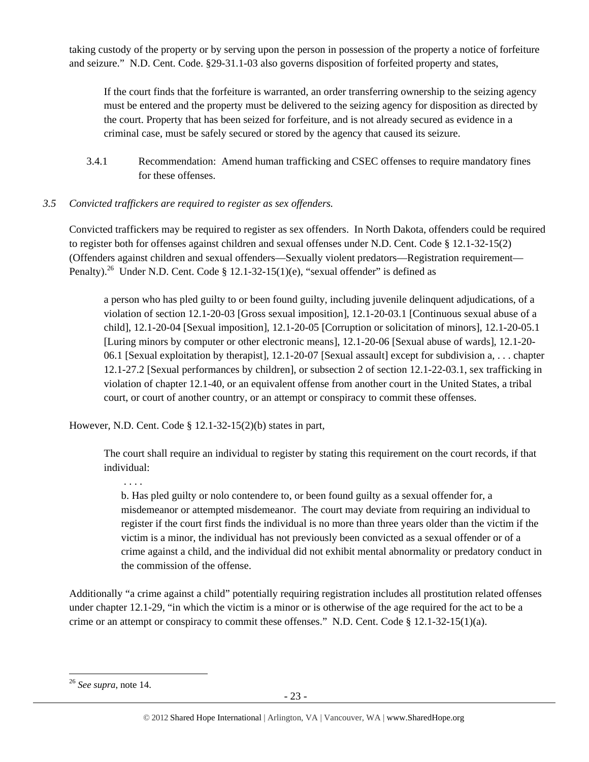taking custody of the property or by serving upon the person in possession of the property a notice of forfeiture and seizure." N.D. Cent. Code. §29-31.1-03 also governs disposition of forfeited property and states,

If the court finds that the forfeiture is warranted, an order transferring ownership to the seizing agency must be entered and the property must be delivered to the seizing agency for disposition as directed by the court. Property that has been seized for forfeiture, and is not already secured as evidence in a criminal case, must be safely secured or stored by the agency that caused its seizure.

3.4.1 Recommendation: Amend human trafficking and CSEC offenses to require mandatory fines for these offenses.

# *3.5 Convicted traffickers are required to register as sex offenders.*

Convicted traffickers may be required to register as sex offenders. In North Dakota, offenders could be required to register both for offenses against children and sexual offenses under N.D. Cent. Code § 12.1-32-15(2) (Offenders against children and sexual offenders—Sexually violent predators—Registration requirement— Penalty).<sup>26</sup> Under N.D. Cent. Code § 12.1-32-15(1)(e), "sexual offender" is defined as

a person who has pled guilty to or been found guilty, including juvenile delinquent adjudications, of a violation of section 12.1-20-03 [Gross sexual imposition], 12.1-20-03.1 [Continuous sexual abuse of a child], 12.1-20-04 [Sexual imposition], 12.1-20-05 [Corruption or solicitation of minors], 12.1-20-05.1 [Luring minors by computer or other electronic means], 12.1-20-06 [Sexual abuse of wards], 12.1-20- 06.1 [Sexual exploitation by therapist], 12.1-20-07 [Sexual assault] except for subdivision a, . . . chapter 12.1-27.2 [Sexual performances by children], or subsection 2 of section 12.1-22-03.1, sex trafficking in violation of chapter 12.1-40, or an equivalent offense from another court in the United States, a tribal court, or court of another country, or an attempt or conspiracy to commit these offenses.

However, N.D. Cent. Code § 12.1-32-15(2)(b) states in part,

The court shall require an individual to register by stating this requirement on the court records, if that individual:

. . . .

b. Has pled guilty or nolo contendere to, or been found guilty as a sexual offender for, a misdemeanor or attempted misdemeanor. The court may deviate from requiring an individual to register if the court first finds the individual is no more than three years older than the victim if the victim is a minor, the individual has not previously been convicted as a sexual offender or of a crime against a child, and the individual did not exhibit mental abnormality or predatory conduct in the commission of the offense.

Additionally "a crime against a child" potentially requiring registration includes all prostitution related offenses under chapter 12.1-29, "in which the victim is a minor or is otherwise of the age required for the act to be a crime or an attempt or conspiracy to commit these offenses." N.D. Cent. Code § 12.1-32-15(1)(a).

 <sup>26</sup> *See supra*, note 14.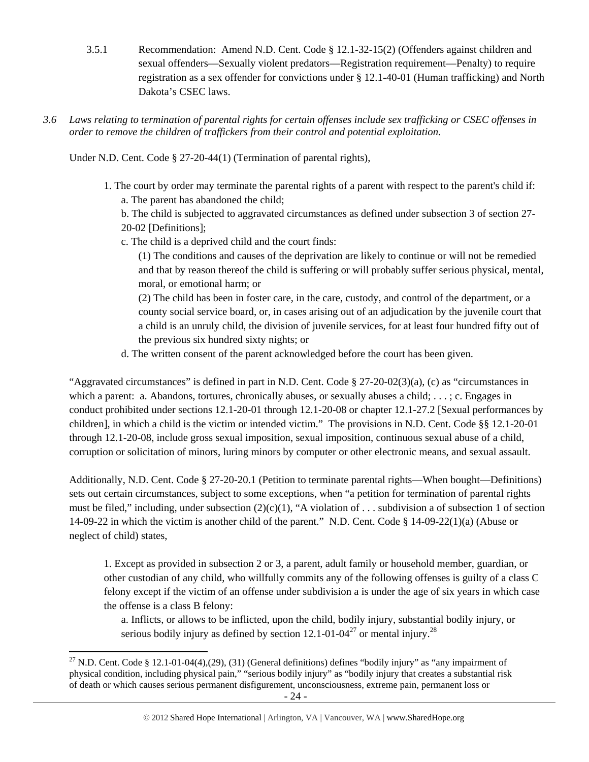- 3.5.1 Recommendation: Amend N.D. Cent. Code § 12.1-32-15(2) (Offenders against children and sexual offenders—Sexually violent predators—Registration requirement—Penalty) to require registration as a sex offender for convictions under § 12.1-40-01 (Human trafficking) and North Dakota's CSEC laws.
- *3.6 Laws relating to termination of parental rights for certain offenses include sex trafficking or CSEC offenses in order to remove the children of traffickers from their control and potential exploitation.*

Under N.D. Cent. Code § 27-20-44(1) (Termination of parental rights),

- 1. The court by order may terminate the parental rights of a parent with respect to the parent's child if: a. The parent has abandoned the child;
	- b. The child is subjected to aggravated circumstances as defined under subsection 3 of section 27- 20-02 [Definitions];
	- c. The child is a deprived child and the court finds:
		- (1) The conditions and causes of the deprivation are likely to continue or will not be remedied and that by reason thereof the child is suffering or will probably suffer serious physical, mental, moral, or emotional harm; or
		- (2) The child has been in foster care, in the care, custody, and control of the department, or a county social service board, or, in cases arising out of an adjudication by the juvenile court that a child is an unruly child, the division of juvenile services, for at least four hundred fifty out of the previous six hundred sixty nights; or
	- d. The written consent of the parent acknowledged before the court has been given.

"Aggravated circumstances" is defined in part in N.D. Cent. Code § 27-20-02(3)(a), (c) as "circumstances in which a parent: a. Abandons, tortures, chronically abuses, or sexually abuses a child; . . . ; c. Engages in conduct prohibited under sections 12.1-20-01 through 12.1-20-08 or chapter 12.1-27.2 [Sexual performances by children], in which a child is the victim or intended victim." The provisions in N.D. Cent. Code §§ 12.1-20-01 through 12.1-20-08, include gross sexual imposition, sexual imposition, continuous sexual abuse of a child, corruption or solicitation of minors, luring minors by computer or other electronic means, and sexual assault.

Additionally, N.D. Cent. Code § 27-20-20.1 (Petition to terminate parental rights—When bought—Definitions) sets out certain circumstances, subject to some exceptions, when "a petition for termination of parental rights must be filed," including, under subsection  $(2)(c)(1)$ , "A violation of ... subdivision a of subsection 1 of section 14-09-22 in which the victim is another child of the parent." N.D. Cent. Code § 14-09-22(1)(a) (Abuse or neglect of child) states,

1. Except as provided in subsection 2 or 3, a parent, adult family or household member, guardian, or other custodian of any child, who willfully commits any of the following offenses is guilty of a class C felony except if the victim of an offense under subdivision a is under the age of six years in which case the offense is a class B felony:

a. Inflicts, or allows to be inflicted, upon the child, bodily injury, substantial bodily injury, or serious bodily injury as defined by section  $12.1$ -01-04<sup>27</sup> or mental injury.<sup>28</sup>

 <sup>27</sup> N.D. Cent. Code § 12.1-01-04(4),(29), (31) (General definitions) defines "bodily injury" as "any impairment of physical condition, including physical pain," "serious bodily injury" as "bodily injury that creates a substantial risk of death or which causes serious permanent disfigurement, unconsciousness, extreme pain, permanent loss or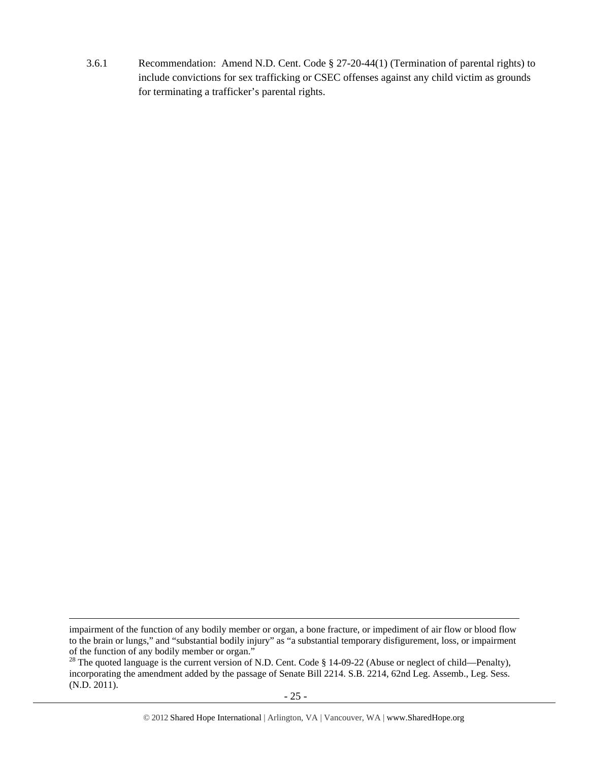3.6.1 Recommendation: Amend N.D. Cent. Code § 27-20-44(1) (Termination of parental rights) to include convictions for sex trafficking or CSEC offenses against any child victim as grounds for terminating a trafficker's parental rights.

<u> Andreas Andreas Andreas Andreas Andreas Andreas Andreas Andreas Andreas Andreas Andreas Andreas Andreas Andr</u>

impairment of the function of any bodily member or organ, a bone fracture, or impediment of air flow or blood flow to the brain or lungs," and "substantial bodily injury" as "a substantial temporary disfigurement, loss, or impairment of the function of any bodily member or organ."

<sup>&</sup>lt;sup>28</sup> The quoted language is the current version of N.D. Cent. Code § 14-09-22 (Abuse or neglect of child—Penalty), incorporating the amendment added by the passage of Senate Bill 2214. S.B. 2214, 62nd Leg. Assemb., Leg. Sess. (N.D. 2011).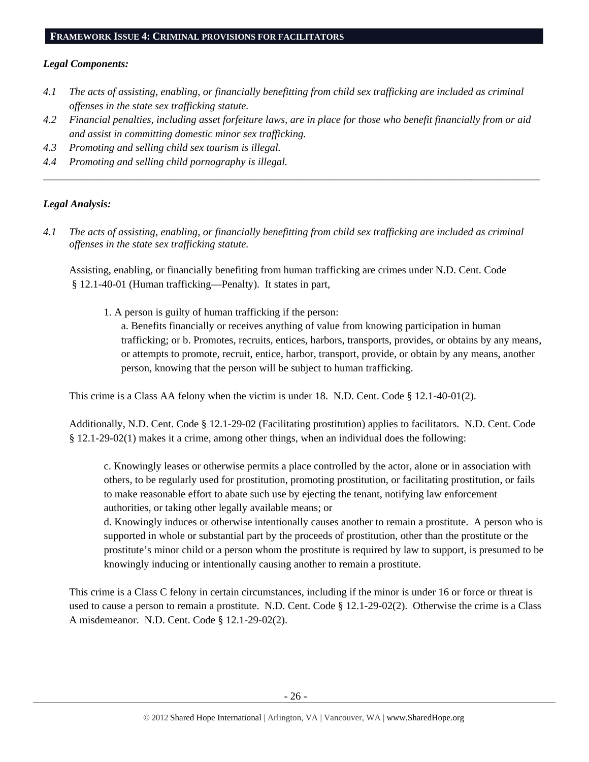#### **FRAMEWORK ISSUE 4: CRIMINAL PROVISIONS FOR FACILITATORS**

#### *Legal Components:*

- *4.1 The acts of assisting, enabling, or financially benefitting from child sex trafficking are included as criminal offenses in the state sex trafficking statute.*
- *4.2 Financial penalties, including asset forfeiture laws, are in place for those who benefit financially from or aid and assist in committing domestic minor sex trafficking.*

*\_\_\_\_\_\_\_\_\_\_\_\_\_\_\_\_\_\_\_\_\_\_\_\_\_\_\_\_\_\_\_\_\_\_\_\_\_\_\_\_\_\_\_\_\_\_\_\_\_\_\_\_\_\_\_\_\_\_\_\_\_\_\_\_\_\_\_\_\_\_\_\_\_\_\_\_\_\_\_\_\_\_\_\_\_\_\_\_\_\_\_\_\_\_* 

- *4.3 Promoting and selling child sex tourism is illegal.*
- *4.4 Promoting and selling child pornography is illegal.*

## *Legal Analysis:*

*4.1 The acts of assisting, enabling, or financially benefitting from child sex trafficking are included as criminal offenses in the state sex trafficking statute.*

Assisting, enabling, or financially benefiting from human trafficking are crimes under N.D. Cent. Code § 12.1-40-01 (Human trafficking—Penalty). It states in part,

1. A person is guilty of human trafficking if the person:

a. Benefits financially or receives anything of value from knowing participation in human trafficking; or b. Promotes, recruits, entices, harbors, transports, provides, or obtains by any means, or attempts to promote, recruit, entice, harbor, transport, provide, or obtain by any means, another person, knowing that the person will be subject to human trafficking.

This crime is a Class AA felony when the victim is under 18. N.D. Cent. Code § 12.1-40-01(2).

Additionally, N.D. Cent. Code § 12.1-29-02 (Facilitating prostitution) applies to facilitators. N.D. Cent. Code § 12.1-29-02(1) makes it a crime, among other things, when an individual does the following:

c. Knowingly leases or otherwise permits a place controlled by the actor, alone or in association with others, to be regularly used for prostitution, promoting prostitution, or facilitating prostitution, or fails to make reasonable effort to abate such use by ejecting the tenant, notifying law enforcement authorities, or taking other legally available means; or

d. Knowingly induces or otherwise intentionally causes another to remain a prostitute. A person who is supported in whole or substantial part by the proceeds of prostitution, other than the prostitute or the prostitute's minor child or a person whom the prostitute is required by law to support, is presumed to be knowingly inducing or intentionally causing another to remain a prostitute.

This crime is a Class C felony in certain circumstances, including if the minor is under 16 or force or threat is used to cause a person to remain a prostitute. N.D. Cent. Code § 12.1-29-02(2). Otherwise the crime is a Class A misdemeanor. N.D. Cent. Code § 12.1-29-02(2).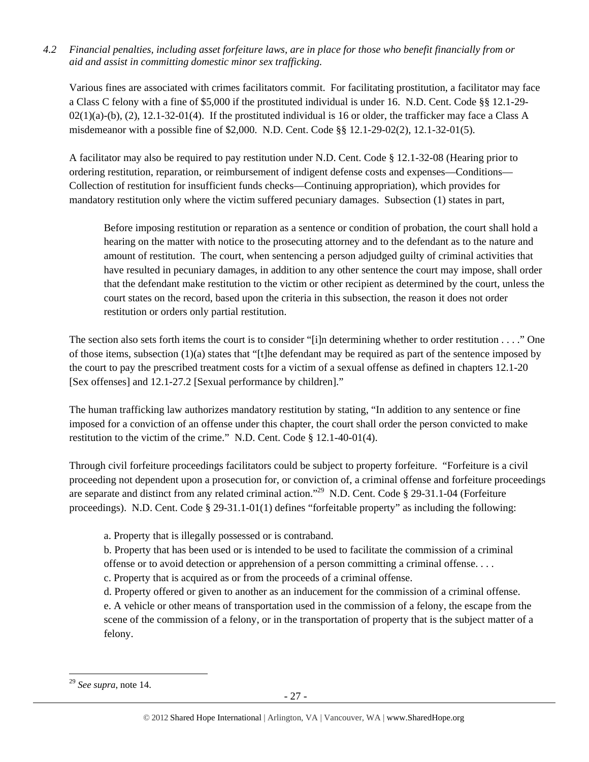*4.2 Financial penalties, including asset forfeiture laws, are in place for those who benefit financially from or aid and assist in committing domestic minor sex trafficking.* 

Various fines are associated with crimes facilitators commit. For facilitating prostitution, a facilitator may face a Class C felony with a fine of \$5,000 if the prostituted individual is under 16. N.D. Cent. Code §§ 12.1-29-  $02(1)(a)-(b)$ ,  $(2)$ ,  $12.1-32-01(4)$ . If the prostituted individual is 16 or older, the trafficker may face a Class A misdemeanor with a possible fine of \$2,000. N.D. Cent. Code §§ 12.1-29-02(2), 12.1-32-01(5).

A facilitator may also be required to pay restitution under N.D. Cent. Code § 12.1-32-08 (Hearing prior to ordering restitution, reparation, or reimbursement of indigent defense costs and expenses—Conditions— Collection of restitution for insufficient funds checks—Continuing appropriation), which provides for mandatory restitution only where the victim suffered pecuniary damages. Subsection (1) states in part,

Before imposing restitution or reparation as a sentence or condition of probation, the court shall hold a hearing on the matter with notice to the prosecuting attorney and to the defendant as to the nature and amount of restitution. The court, when sentencing a person adjudged guilty of criminal activities that have resulted in pecuniary damages, in addition to any other sentence the court may impose, shall order that the defendant make restitution to the victim or other recipient as determined by the court, unless the court states on the record, based upon the criteria in this subsection, the reason it does not order restitution or orders only partial restitution.

The section also sets forth items the court is to consider "[i]n determining whether to order restitution . . . ." One of those items, subsection (1)(a) states that "[t]he defendant may be required as part of the sentence imposed by the court to pay the prescribed treatment costs for a victim of a sexual offense as defined in chapters 12.1-20 [Sex offenses] and 12.1-27.2 [Sexual performance by children]."

The human trafficking law authorizes mandatory restitution by stating, "In addition to any sentence or fine imposed for a conviction of an offense under this chapter, the court shall order the person convicted to make restitution to the victim of the crime." N.D. Cent. Code § 12.1-40-01(4).

Through civil forfeiture proceedings facilitators could be subject to property forfeiture. "Forfeiture is a civil proceeding not dependent upon a prosecution for, or conviction of, a criminal offense and forfeiture proceedings are separate and distinct from any related criminal action."29 N.D. Cent. Code § 29-31.1-04 (Forfeiture proceedings). N.D. Cent. Code § 29-31.1-01(1) defines "forfeitable property" as including the following:

a. Property that is illegally possessed or is contraband.

b. Property that has been used or is intended to be used to facilitate the commission of a criminal offense or to avoid detection or apprehension of a person committing a criminal offense. . . .

c. Property that is acquired as or from the proceeds of a criminal offense.

d. Property offered or given to another as an inducement for the commission of a criminal offense.

e. A vehicle or other means of transportation used in the commission of a felony, the escape from the scene of the commission of a felony, or in the transportation of property that is the subject matter of a felony.

<sup>29</sup> *See supra*, note 14.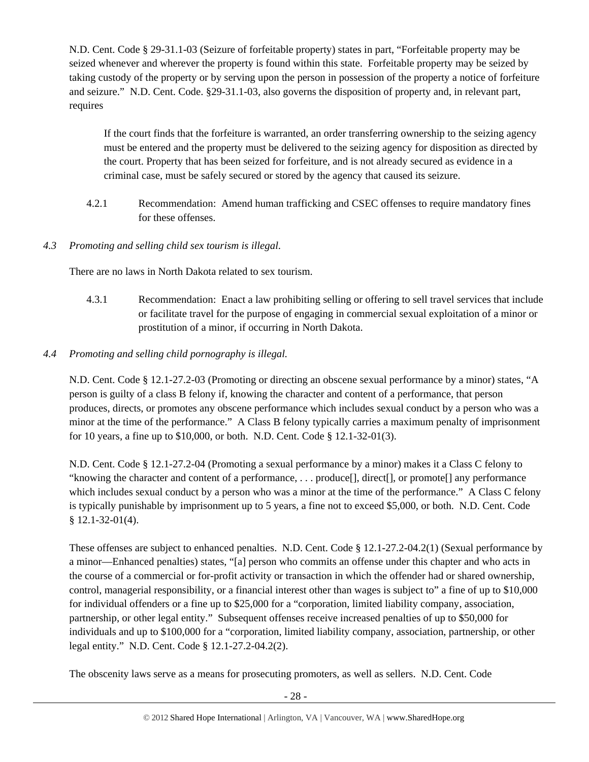N.D. Cent. Code § 29-31.1-03 (Seizure of forfeitable property) states in part, "Forfeitable property may be seized whenever and wherever the property is found within this state. Forfeitable property may be seized by taking custody of the property or by serving upon the person in possession of the property a notice of forfeiture and seizure." N.D. Cent. Code. §29-31.1-03, also governs the disposition of property and, in relevant part, requires

If the court finds that the forfeiture is warranted, an order transferring ownership to the seizing agency must be entered and the property must be delivered to the seizing agency for disposition as directed by the court. Property that has been seized for forfeiture, and is not already secured as evidence in a criminal case, must be safely secured or stored by the agency that caused its seizure.

- 4.2.1 Recommendation: Amend human trafficking and CSEC offenses to require mandatory fines for these offenses.
- *4.3 Promoting and selling child sex tourism is illegal*.

There are no laws in North Dakota related to sex tourism.

4.3.1 Recommendation: Enact a law prohibiting selling or offering to sell travel services that include or facilitate travel for the purpose of engaging in commercial sexual exploitation of a minor or prostitution of a minor, if occurring in North Dakota.

# *4.4 Promoting and selling child pornography is illegal.*

N.D. Cent. Code § 12.1-27.2-03 (Promoting or directing an obscene sexual performance by a minor) states, "A person is guilty of a class B felony if, knowing the character and content of a performance, that person produces, directs, or promotes any obscene performance which includes sexual conduct by a person who was a minor at the time of the performance." A Class B felony typically carries a maximum penalty of imprisonment for 10 years, a fine up to \$10,000, or both. N.D. Cent. Code § 12.1-32-01(3).

N.D. Cent. Code § 12.1-27.2-04 (Promoting a sexual performance by a minor) makes it a Class C felony to "knowing the character and content of a performance, . . . produce[], direct[], or promote[] any performance which includes sexual conduct by a person who was a minor at the time of the performance." A Class C felony is typically punishable by imprisonment up to 5 years, a fine not to exceed \$5,000, or both. N.D. Cent. Code § 12.1-32-01(4).

These offenses are subject to enhanced penalties. N.D. Cent. Code § 12.1-27.2-04.2(1) (Sexual performance by a minor—Enhanced penalties) states, "[a] person who commits an offense under this chapter and who acts in the course of a commercial or for-profit activity or transaction in which the offender had or shared ownership, control, managerial responsibility, or a financial interest other than wages is subject to" a fine of up to \$10,000 for individual offenders or a fine up to \$25,000 for a "corporation, limited liability company, association, partnership, or other legal entity." Subsequent offenses receive increased penalties of up to \$50,000 for individuals and up to \$100,000 for a "corporation, limited liability company, association, partnership, or other legal entity." N.D. Cent. Code § 12.1-27.2-04.2(2).

The obscenity laws serve as a means for prosecuting promoters, as well as sellers. N.D. Cent. Code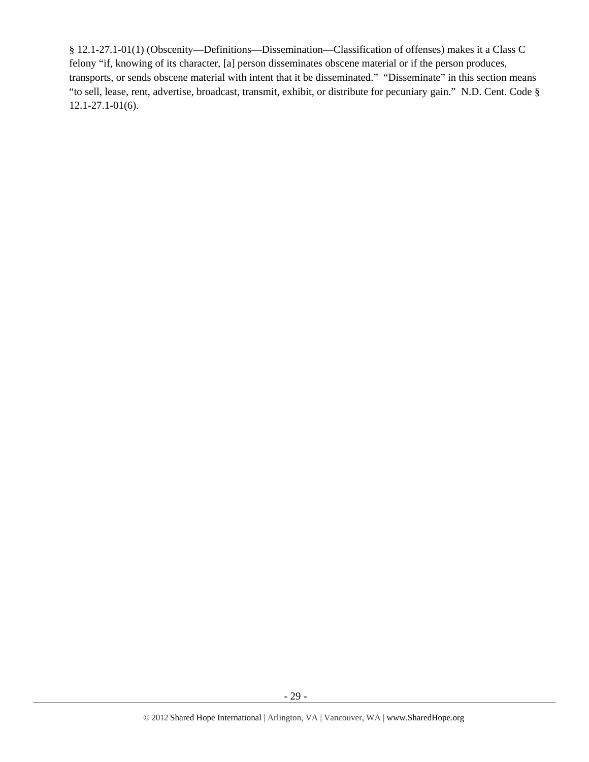§ 12.1-27.1-01(1) (Obscenity—Definitions—Dissemination—Classification of offenses) makes it a Class C felony "if, knowing of its character, [a] person disseminates obscene material or if the person produces, transports, or sends obscene material with intent that it be disseminated." "Disseminate" in this section means "to sell, lease, rent, advertise, broadcast, transmit, exhibit, or distribute for pecuniary gain." N.D. Cent. Code § 12.1-27.1-01(6).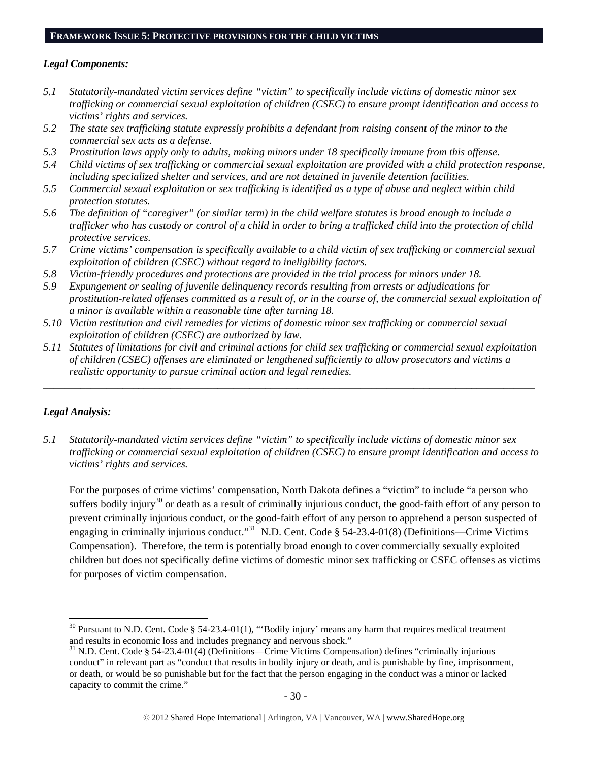#### **FRAMEWORK ISSUE 5: PROTECTIVE PROVISIONS FOR THE CHILD VICTIMS**

#### *Legal Components:*

- *5.1 Statutorily-mandated victim services define "victim" to specifically include victims of domestic minor sex trafficking or commercial sexual exploitation of children (CSEC) to ensure prompt identification and access to victims' rights and services.*
- *5.2 The state sex trafficking statute expressly prohibits a defendant from raising consent of the minor to the commercial sex acts as a defense.*
- *5.3 Prostitution laws apply only to adults, making minors under 18 specifically immune from this offense.*
- *5.4 Child victims of sex trafficking or commercial sexual exploitation are provided with a child protection response, including specialized shelter and services, and are not detained in juvenile detention facilities.*
- *5.5 Commercial sexual exploitation or sex trafficking is identified as a type of abuse and neglect within child protection statutes.*
- *5.6 The definition of "caregiver" (or similar term) in the child welfare statutes is broad enough to include a trafficker who has custody or control of a child in order to bring a trafficked child into the protection of child protective services.*
- *5.7 Crime victims' compensation is specifically available to a child victim of sex trafficking or commercial sexual exploitation of children (CSEC) without regard to ineligibility factors.*
- *5.8 Victim-friendly procedures and protections are provided in the trial process for minors under 18.*
- *5.9 Expungement or sealing of juvenile delinquency records resulting from arrests or adjudications for prostitution-related offenses committed as a result of, or in the course of, the commercial sexual exploitation of a minor is available within a reasonable time after turning 18.*
- *5.10 Victim restitution and civil remedies for victims of domestic minor sex trafficking or commercial sexual exploitation of children (CSEC) are authorized by law.*
- *5.11 Statutes of limitations for civil and criminal actions for child sex trafficking or commercial sexual exploitation of children (CSEC) offenses are eliminated or lengthened sufficiently to allow prosecutors and victims a realistic opportunity to pursue criminal action and legal remedies.*

*\_\_\_\_\_\_\_\_\_\_\_\_\_\_\_\_\_\_\_\_\_\_\_\_\_\_\_\_\_\_\_\_\_\_\_\_\_\_\_\_\_\_\_\_\_\_\_\_\_\_\_\_\_\_\_\_\_\_\_\_\_\_\_\_\_\_\_\_\_\_\_\_\_\_\_\_\_\_\_\_\_\_\_\_\_\_\_\_\_\_\_\_\_* 

#### *Legal Analysis:*

*5.1 Statutorily-mandated victim services define "victim" to specifically include victims of domestic minor sex trafficking or commercial sexual exploitation of children (CSEC) to ensure prompt identification and access to victims' rights and services.* 

For the purposes of crime victims' compensation, North Dakota defines a "victim" to include "a person who suffers bodily injury<sup>30</sup> or death as a result of criminally injurious conduct, the good-faith effort of any person to prevent criminally injurious conduct, or the good-faith effort of any person to apprehend a person suspected of engaging in criminally injurious conduct."31 N.D. Cent. Code § 54-23.4-01(8) (Definitions—Crime Victims Compensation). Therefore, the term is potentially broad enough to cover commercially sexually exploited children but does not specifically define victims of domestic minor sex trafficking or CSEC offenses as victims for purposes of victim compensation.

<sup>&</sup>lt;sup>30</sup> Pursuant to N.D. Cent. Code § 54-23.4-01(1), "Bodily injury' means any harm that requires medical treatment and results in economic loss and includes pregnancy and nervous shock."

 $31$  N.D. Cent. Code § 54-23.4-01(4) (Definitions—Crime Victims Compensation) defines "criminally injurious conduct" in relevant part as "conduct that results in bodily injury or death, and is punishable by fine, imprisonment, or death, or would be so punishable but for the fact that the person engaging in the conduct was a minor or lacked capacity to commit the crime."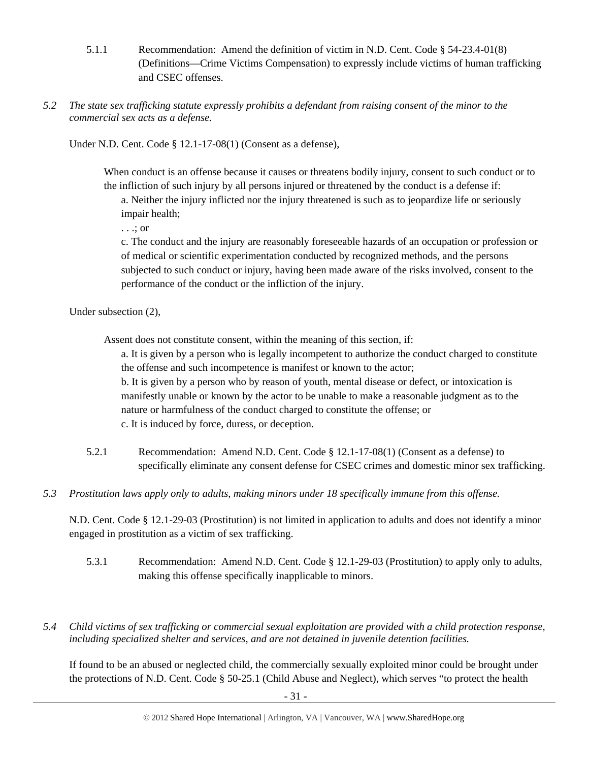- 5.1.1 Recommendation: Amend the definition of victim in N.D. Cent. Code § 54-23.4-01(8) (Definitions—Crime Victims Compensation) to expressly include victims of human trafficking and CSEC offenses.
- *5.2 The state sex trafficking statute expressly prohibits a defendant from raising consent of the minor to the commercial sex acts as a defense.*

Under N.D. Cent. Code § 12.1-17-08(1) (Consent as a defense),

When conduct is an offense because it causes or threatens bodily injury, consent to such conduct or to the infliction of such injury by all persons injured or threatened by the conduct is a defense if:

a. Neither the injury inflicted nor the injury threatened is such as to jeopardize life or seriously impair health;

. . .; or

c. The conduct and the injury are reasonably foreseeable hazards of an occupation or profession or of medical or scientific experimentation conducted by recognized methods, and the persons subjected to such conduct or injury, having been made aware of the risks involved, consent to the performance of the conduct or the infliction of the injury.

Under subsection (2),

Assent does not constitute consent, within the meaning of this section, if:

a. It is given by a person who is legally incompetent to authorize the conduct charged to constitute the offense and such incompetence is manifest or known to the actor;

b. It is given by a person who by reason of youth, mental disease or defect, or intoxication is manifestly unable or known by the actor to be unable to make a reasonable judgment as to the nature or harmfulness of the conduct charged to constitute the offense; or c. It is induced by force, duress, or deception.

- 5.2.1 Recommendation: Amend N.D. Cent. Code § 12.1-17-08(1) (Consent as a defense) to specifically eliminate any consent defense for CSEC crimes and domestic minor sex trafficking.
- *5.3 Prostitution laws apply only to adults, making minors under 18 specifically immune from this offense.*

N.D. Cent. Code § 12.1-29-03 (Prostitution) is not limited in application to adults and does not identify a minor engaged in prostitution as a victim of sex trafficking.

- 5.3.1 Recommendation: Amend N.D. Cent. Code § 12.1-29-03 (Prostitution) to apply only to adults, making this offense specifically inapplicable to minors.
- *5.4 Child victims of sex trafficking or commercial sexual exploitation are provided with a child protection response, including specialized shelter and services, and are not detained in juvenile detention facilities.*

If found to be an abused or neglected child, the commercially sexually exploited minor could be brought under the protections of N.D. Cent. Code § 50-25.1 (Child Abuse and Neglect), which serves "to protect the health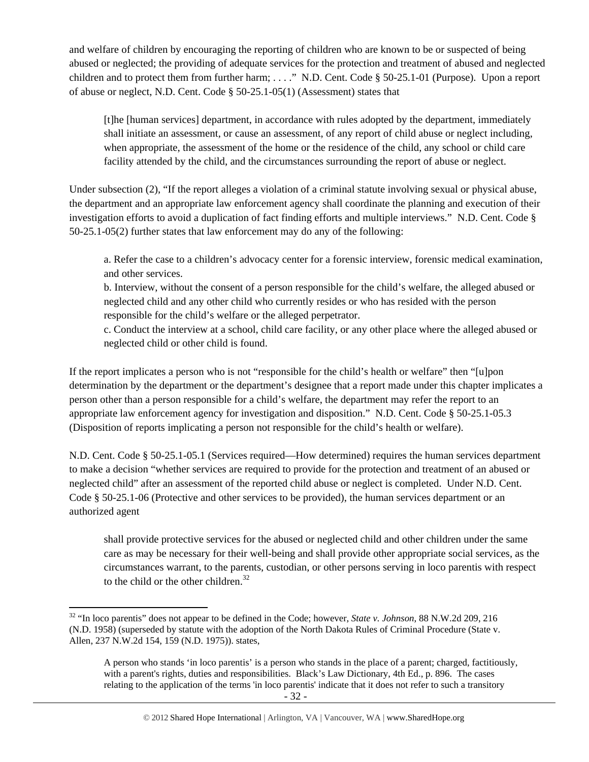and welfare of children by encouraging the reporting of children who are known to be or suspected of being abused or neglected; the providing of adequate services for the protection and treatment of abused and neglected children and to protect them from further harm; . . . ." N.D. Cent. Code § 50-25.1-01 (Purpose). Upon a report of abuse or neglect, N.D. Cent. Code § 50-25.1-05(1) (Assessment) states that

[t]he [human services] department, in accordance with rules adopted by the department, immediately shall initiate an assessment, or cause an assessment, of any report of child abuse or neglect including, when appropriate, the assessment of the home or the residence of the child, any school or child care facility attended by the child, and the circumstances surrounding the report of abuse or neglect.

Under subsection (2), "If the report alleges a violation of a criminal statute involving sexual or physical abuse, the department and an appropriate law enforcement agency shall coordinate the planning and execution of their investigation efforts to avoid a duplication of fact finding efforts and multiple interviews." N.D. Cent. Code § 50-25.1-05(2) further states that law enforcement may do any of the following:

a. Refer the case to a children's advocacy center for a forensic interview, forensic medical examination, and other services.

b. Interview, without the consent of a person responsible for the child's welfare, the alleged abused or neglected child and any other child who currently resides or who has resided with the person responsible for the child's welfare or the alleged perpetrator.

c. Conduct the interview at a school, child care facility, or any other place where the alleged abused or neglected child or other child is found.

If the report implicates a person who is not "responsible for the child's health or welfare" then "[u]pon determination by the department or the department's designee that a report made under this chapter implicates a person other than a person responsible for a child's welfare, the department may refer the report to an appropriate law enforcement agency for investigation and disposition." N.D. Cent. Code § 50-25.1-05.3 (Disposition of reports implicating a person not responsible for the child's health or welfare).

N.D. Cent. Code § 50-25.1-05.1 (Services required—How determined) requires the human services department to make a decision "whether services are required to provide for the protection and treatment of an abused or neglected child" after an assessment of the reported child abuse or neglect is completed. Under N.D. Cent. Code § 50-25.1-06 (Protective and other services to be provided), the human services department or an authorized agent

shall provide protective services for the abused or neglected child and other children under the same care as may be necessary for their well-being and shall provide other appropriate social services, as the circumstances warrant, to the parents, custodian, or other persons serving in loco parentis with respect to the child or the other children. $32$ 

 32 "In loco parentis" does not appear to be defined in the Code; however, *State v. Johnson*, 88 N.W.2d 209, 216 (N.D. 1958) (superseded by statute with the adoption of the North Dakota Rules of Criminal Procedure (State v. Allen, 237 N.W.2d 154, 159 (N.D. 1975)). states,

A person who stands 'in loco parentis' is a person who stands in the place of a parent; charged, factitiously, with a parent's rights, duties and responsibilities. Black's Law Dictionary, 4th Ed., p. 896. The cases relating to the application of the terms 'in loco parentis' indicate that it does not refer to such a transitory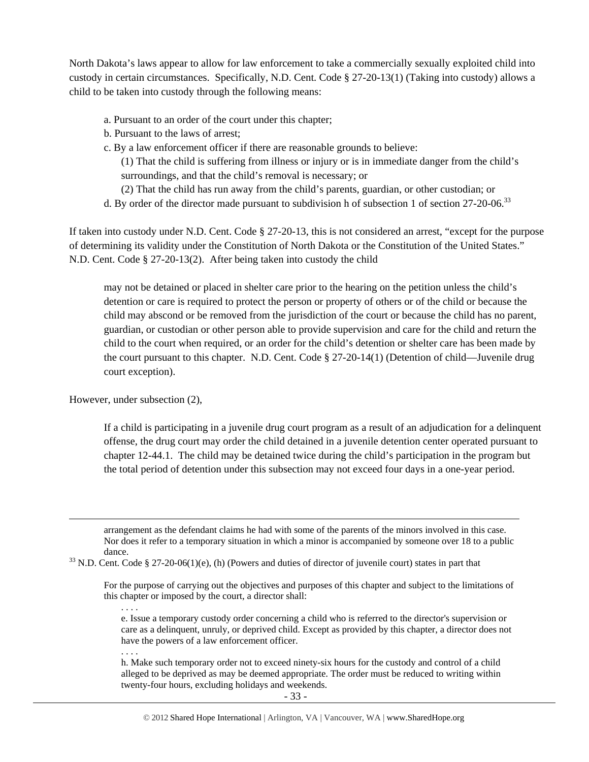North Dakota's laws appear to allow for law enforcement to take a commercially sexually exploited child into custody in certain circumstances. Specifically, N.D. Cent. Code § 27-20-13(1) (Taking into custody) allows a child to be taken into custody through the following means:

- a. Pursuant to an order of the court under this chapter;
- b. Pursuant to the laws of arrest;
- c. By a law enforcement officer if there are reasonable grounds to believe:

(1) That the child is suffering from illness or injury or is in immediate danger from the child's surroundings, and that the child's removal is necessary; or

- (2) That the child has run away from the child's parents, guardian, or other custodian; or
- d. By order of the director made pursuant to subdivision h of subsection 1 of section 27-20-06.<sup>33</sup>

If taken into custody under N.D. Cent. Code § 27-20-13, this is not considered an arrest, "except for the purpose of determining its validity under the Constitution of North Dakota or the Constitution of the United States." N.D. Cent. Code § 27-20-13(2). After being taken into custody the child

may not be detained or placed in shelter care prior to the hearing on the petition unless the child's detention or care is required to protect the person or property of others or of the child or because the child may abscond or be removed from the jurisdiction of the court or because the child has no parent, guardian, or custodian or other person able to provide supervision and care for the child and return the child to the court when required, or an order for the child's detention or shelter care has been made by the court pursuant to this chapter. N.D. Cent. Code § 27-20-14(1) (Detention of child—Juvenile drug court exception).

However, under subsection (2),

If a child is participating in a juvenile drug court program as a result of an adjudication for a delinquent offense, the drug court may order the child detained in a juvenile detention center operated pursuant to chapter 12-44.1. The child may be detained twice during the child's participation in the program but the total period of detention under this subsection may not exceed four days in a one-year period.

arrangement as the defendant claims he had with some of the parents of the minors involved in this case. Nor does it refer to a temporary situation in which a minor is accompanied by someone over 18 to a public

<u> Andrewski politika (za obrazu pod predsjednika u predsjednika u predsjednika u predsjednika (za obrazu pod p</u>

dance.<br><sup>33</sup> N.D. Cent. Code § 27-20-06(1)(e), (h) (Powers and duties of director of juvenile court) states in part that

For the purpose of carrying out the objectives and purposes of this chapter and subject to the limitations of this chapter or imposed by the court, a director shall:

e. Issue a temporary custody order concerning a child who is referred to the director's supervision or care as a delinquent, unruly, or deprived child. Except as provided by this chapter, a director does not have the powers of a law enforcement officer.

. . . .

. . . .

h. Make such temporary order not to exceed ninety-six hours for the custody and control of a child alleged to be deprived as may be deemed appropriate. The order must be reduced to writing within twenty-four hours, excluding holidays and weekends.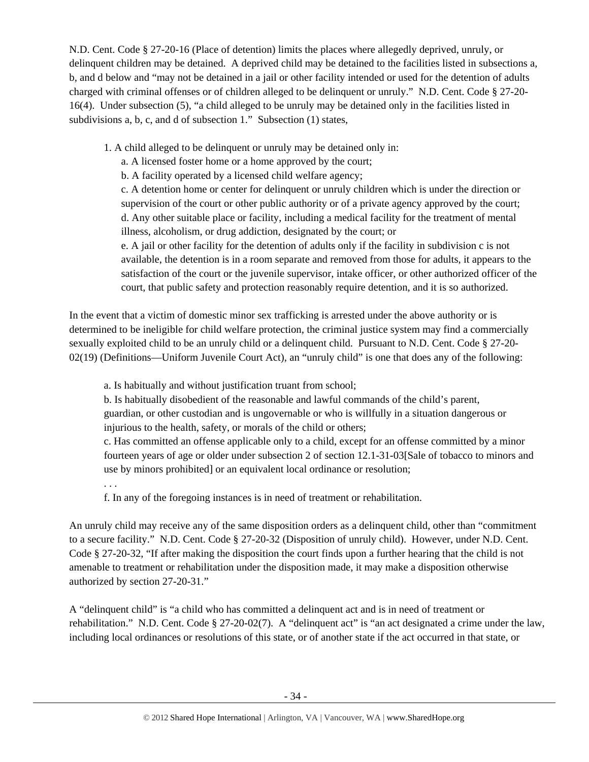N.D. Cent. Code § 27-20-16 (Place of detention) limits the places where allegedly deprived, unruly, or delinquent children may be detained. A deprived child may be detained to the facilities listed in subsections a, b, and d below and "may not be detained in a jail or other facility intended or used for the detention of adults charged with criminal offenses or of children alleged to be delinquent or unruly." N.D. Cent. Code § 27-20- 16(4). Under subsection (5), "a child alleged to be unruly may be detained only in the facilities listed in subdivisions a, b, c, and d of subsection 1." Subsection (1) states,

1. A child alleged to be delinquent or unruly may be detained only in:

a. A licensed foster home or a home approved by the court;

b. A facility operated by a licensed child welfare agency;

c. A detention home or center for delinquent or unruly children which is under the direction or supervision of the court or other public authority or of a private agency approved by the court; d. Any other suitable place or facility, including a medical facility for the treatment of mental illness, alcoholism, or drug addiction, designated by the court; or

e. A jail or other facility for the detention of adults only if the facility in subdivision c is not available, the detention is in a room separate and removed from those for adults, it appears to the satisfaction of the court or the juvenile supervisor, intake officer, or other authorized officer of the court, that public safety and protection reasonably require detention, and it is so authorized.

In the event that a victim of domestic minor sex trafficking is arrested under the above authority or is determined to be ineligible for child welfare protection, the criminal justice system may find a commercially sexually exploited child to be an unruly child or a delinquent child. Pursuant to N.D. Cent. Code § 27-20- 02(19) (Definitions—Uniform Juvenile Court Act), an "unruly child" is one that does any of the following:

a. Is habitually and without justification truant from school;

b. Is habitually disobedient of the reasonable and lawful commands of the child's parent, guardian, or other custodian and is ungovernable or who is willfully in a situation dangerous or injurious to the health, safety, or morals of the child or others;

c. Has committed an offense applicable only to a child, except for an offense committed by a minor fourteen years of age or older under subsection 2 of section 12.1-31-03[Sale of tobacco to minors and use by minors prohibited] or an equivalent local ordinance or resolution;

. . .

f. In any of the foregoing instances is in need of treatment or rehabilitation.

An unruly child may receive any of the same disposition orders as a delinquent child, other than "commitment to a secure facility." N.D. Cent. Code § 27-20-32 (Disposition of unruly child). However, under N.D. Cent. Code § 27-20-32, "If after making the disposition the court finds upon a further hearing that the child is not amenable to treatment or rehabilitation under the disposition made, it may make a disposition otherwise authorized by section 27-20-31."

A "delinquent child" is "a child who has committed a delinquent act and is in need of treatment or rehabilitation." N.D. Cent. Code § 27-20-02(7). A "delinquent act" is "an act designated a crime under the law, including local ordinances or resolutions of this state, or of another state if the act occurred in that state, or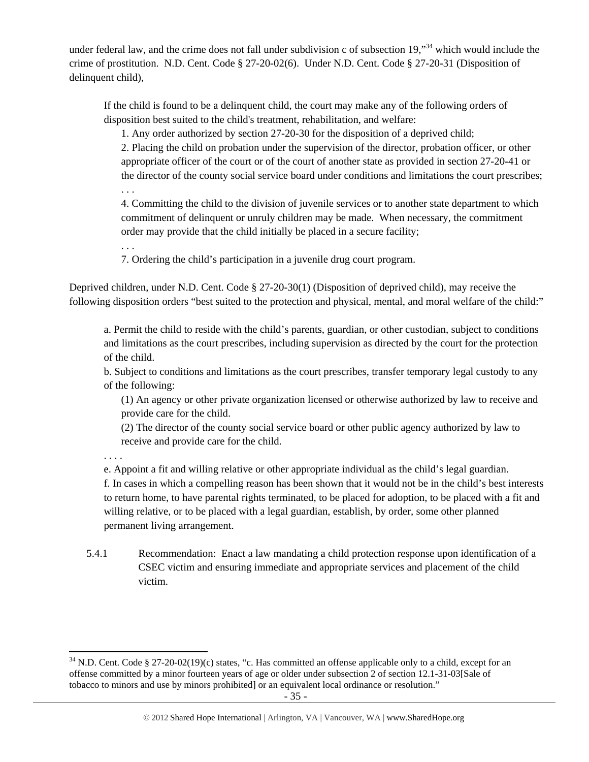under federal law, and the crime does not fall under subdivision c of subsection 19,"<sup>34</sup> which would include the crime of prostitution. N.D. Cent. Code § 27-20-02(6). Under N.D. Cent. Code § 27-20-31 (Disposition of delinquent child),

If the child is found to be a delinquent child, the court may make any of the following orders of disposition best suited to the child's treatment, rehabilitation, and welfare:

1. Any order authorized by section 27-20-30 for the disposition of a deprived child;

2. Placing the child on probation under the supervision of the director, probation officer, or other appropriate officer of the court or of the court of another state as provided in section 27-20-41 or the director of the county social service board under conditions and limitations the court prescribes;

. . .

4. Committing the child to the division of juvenile services or to another state department to which commitment of delinquent or unruly children may be made. When necessary, the commitment order may provide that the child initially be placed in a secure facility;

. . .

7. Ordering the child's participation in a juvenile drug court program.

Deprived children, under N.D. Cent. Code § 27-20-30(1) (Disposition of deprived child), may receive the following disposition orders "best suited to the protection and physical, mental, and moral welfare of the child:"

a. Permit the child to reside with the child's parents, guardian, or other custodian, subject to conditions and limitations as the court prescribes, including supervision as directed by the court for the protection of the child.

b. Subject to conditions and limitations as the court prescribes, transfer temporary legal custody to any of the following:

(1) An agency or other private organization licensed or otherwise authorized by law to receive and provide care for the child.

(2) The director of the county social service board or other public agency authorized by law to receive and provide care for the child.

. . . .

e. Appoint a fit and willing relative or other appropriate individual as the child's legal guardian.

f. In cases in which a compelling reason has been shown that it would not be in the child's best interests to return home, to have parental rights terminated, to be placed for adoption, to be placed with a fit and willing relative, or to be placed with a legal guardian, establish, by order, some other planned permanent living arrangement.

5.4.1 Recommendation: Enact a law mandating a child protection response upon identification of a CSEC victim and ensuring immediate and appropriate services and placement of the child victim.

 $34$  N.D. Cent. Code § 27-20-02(19)(c) states, "c. Has committed an offense applicable only to a child, except for an offense committed by a minor fourteen years of age or older under subsection 2 of section 12.1-31-03[Sale of tobacco to minors and use by minors prohibited] or an equivalent local ordinance or resolution."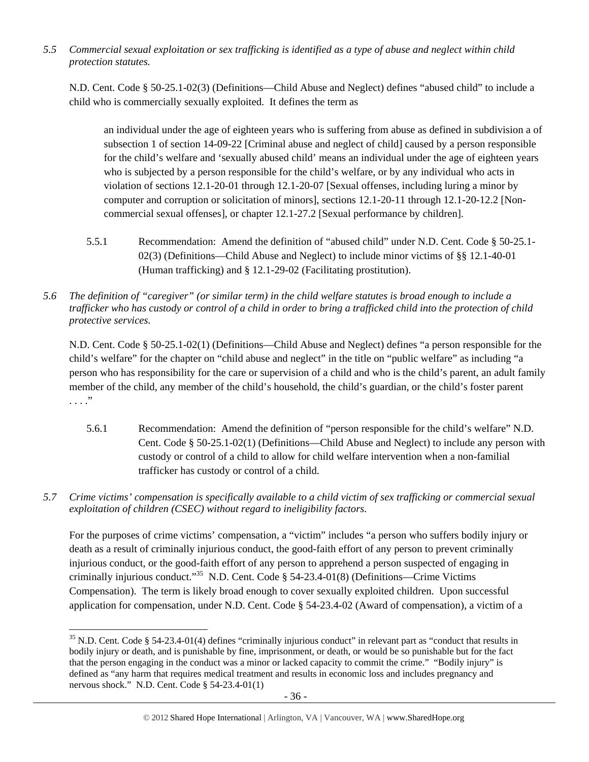*5.5 Commercial sexual exploitation or sex trafficking is identified as a type of abuse and neglect within child protection statutes.* 

N.D. Cent. Code § 50-25.1-02(3) (Definitions—Child Abuse and Neglect) defines "abused child" to include a child who is commercially sexually exploited. It defines the term as

an individual under the age of eighteen years who is suffering from abuse as defined in subdivision a of subsection 1 of section 14-09-22 [Criminal abuse and neglect of child] caused by a person responsible for the child's welfare and 'sexually abused child' means an individual under the age of eighteen years who is subjected by a person responsible for the child's welfare, or by any individual who acts in violation of sections 12.1-20-01 through 12.1-20-07 [Sexual offenses, including luring a minor by computer and corruption or solicitation of minors], sections 12.1-20-11 through 12.1-20-12.2 [Noncommercial sexual offenses], or chapter 12.1-27.2 [Sexual performance by children].

- 5.5.1 Recommendation: Amend the definition of "abused child" under N.D. Cent. Code § 50-25.1- 02(3) (Definitions—Child Abuse and Neglect) to include minor victims of §§ 12.1-40-01 (Human trafficking) and § 12.1-29-02 (Facilitating prostitution).
- *5.6 The definition of "caregiver" (or similar term) in the child welfare statutes is broad enough to include a trafficker who has custody or control of a child in order to bring a trafficked child into the protection of child protective services.*

N.D. Cent. Code § 50-25.1-02(1) (Definitions—Child Abuse and Neglect) defines "a person responsible for the child's welfare" for the chapter on "child abuse and neglect" in the title on "public welfare" as including "a person who has responsibility for the care or supervision of a child and who is the child's parent, an adult family member of the child, any member of the child's household, the child's guardian, or the child's foster parent . . . ."

- 5.6.1 Recommendation: Amend the definition of "person responsible for the child's welfare" N.D. Cent. Code § 50-25.1-02(1) (Definitions—Child Abuse and Neglect) to include any person with custody or control of a child to allow for child welfare intervention when a non-familial trafficker has custody or control of a child.
- *5.7 Crime victims' compensation is specifically available to a child victim of sex trafficking or commercial sexual exploitation of children (CSEC) without regard to ineligibility factors.*

For the purposes of crime victims' compensation, a "victim" includes "a person who suffers bodily injury or death as a result of criminally injurious conduct, the good-faith effort of any person to prevent criminally injurious conduct, or the good-faith effort of any person to apprehend a person suspected of engaging in criminally injurious conduct."<sup>35</sup> N.D. Cent. Code § 54-23.4-01(8) (Definitions—Crime Victims Compensation). The term is likely broad enough to cover sexually exploited children. Upon successful application for compensation, under N.D. Cent. Code § 54-23.4-02 (Award of compensation), a victim of a

  $35$  N.D. Cent. Code § 54-23.4-01(4) defines "criminally injurious conduct" in relevant part as "conduct that results in bodily injury or death, and is punishable by fine, imprisonment, or death, or would be so punishable but for the fact that the person engaging in the conduct was a minor or lacked capacity to commit the crime." "Bodily injury" is defined as "any harm that requires medical treatment and results in economic loss and includes pregnancy and nervous shock." N.D. Cent. Code § 54-23.4-01(1)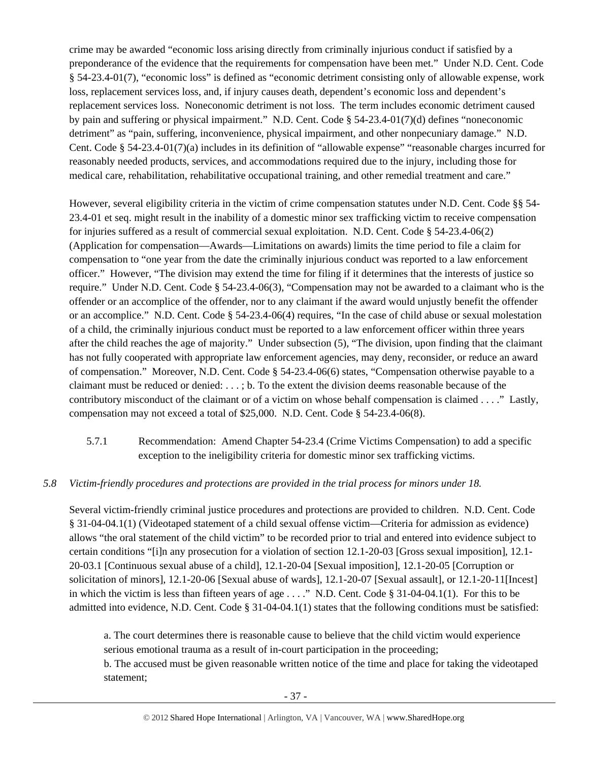crime may be awarded "economic loss arising directly from criminally injurious conduct if satisfied by a preponderance of the evidence that the requirements for compensation have been met." Under N.D. Cent. Code § 54-23.4-01(7), "economic loss" is defined as "economic detriment consisting only of allowable expense, work loss, replacement services loss, and, if injury causes death, dependent's economic loss and dependent's replacement services loss. Noneconomic detriment is not loss. The term includes economic detriment caused by pain and suffering or physical impairment." N.D. Cent. Code § 54-23.4-01(7)(d) defines "noneconomic detriment" as "pain, suffering, inconvenience, physical impairment, and other nonpecuniary damage." N.D. Cent. Code § 54-23.4-01(7)(a) includes in its definition of "allowable expense" "reasonable charges incurred for reasonably needed products, services, and accommodations required due to the injury, including those for medical care, rehabilitation, rehabilitative occupational training, and other remedial treatment and care."

However, several eligibility criteria in the victim of crime compensation statutes under N.D. Cent. Code §§ 54- 23.4-01 et seq. might result in the inability of a domestic minor sex trafficking victim to receive compensation for injuries suffered as a result of commercial sexual exploitation. N.D. Cent. Code § 54-23.4-06(2) (Application for compensation—Awards—Limitations on awards) limits the time period to file a claim for compensation to "one year from the date the criminally injurious conduct was reported to a law enforcement officer." However, "The division may extend the time for filing if it determines that the interests of justice so require." Under N.D. Cent. Code § 54-23.4-06(3), "Compensation may not be awarded to a claimant who is the offender or an accomplice of the offender, nor to any claimant if the award would unjustly benefit the offender or an accomplice." N.D. Cent. Code § 54-23.4-06(4) requires, "In the case of child abuse or sexual molestation of a child, the criminally injurious conduct must be reported to a law enforcement officer within three years after the child reaches the age of majority." Under subsection (5), "The division, upon finding that the claimant has not fully cooperated with appropriate law enforcement agencies, may deny, reconsider, or reduce an award of compensation." Moreover, N.D. Cent. Code § 54-23.4-06(6) states, "Compensation otherwise payable to a claimant must be reduced or denied: . . . ; b. To the extent the division deems reasonable because of the contributory misconduct of the claimant or of a victim on whose behalf compensation is claimed . . . ." Lastly, compensation may not exceed a total of \$25,000. N.D. Cent. Code § 54-23.4-06(8).

5.7.1 Recommendation: Amend Chapter 54-23.4 (Crime Victims Compensation) to add a specific exception to the ineligibility criteria for domestic minor sex trafficking victims.

# *5.8 Victim-friendly procedures and protections are provided in the trial process for minors under 18.*

Several victim-friendly criminal justice procedures and protections are provided to children. N.D. Cent. Code § 31-04-04.1(1) (Videotaped statement of a child sexual offense victim—Criteria for admission as evidence) allows "the oral statement of the child victim" to be recorded prior to trial and entered into evidence subject to certain conditions "[i]n any prosecution for a violation of section 12.1-20-03 [Gross sexual imposition], 12.1- 20-03.1 [Continuous sexual abuse of a child], 12.1-20-04 [Sexual imposition], 12.1-20-05 [Corruption or solicitation of minors], 12.1-20-06 [Sexual abuse of wards], 12.1-20-07 [Sexual assault], or 12.1-20-11[Incest] in which the victim is less than fifteen years of age  $\dots$ ." N.D. Cent. Code § 31-04-04.1(1). For this to be admitted into evidence, N.D. Cent. Code § 31-04-04.1(1) states that the following conditions must be satisfied:

a. The court determines there is reasonable cause to believe that the child victim would experience serious emotional trauma as a result of in-court participation in the proceeding; b. The accused must be given reasonable written notice of the time and place for taking the videotaped statement;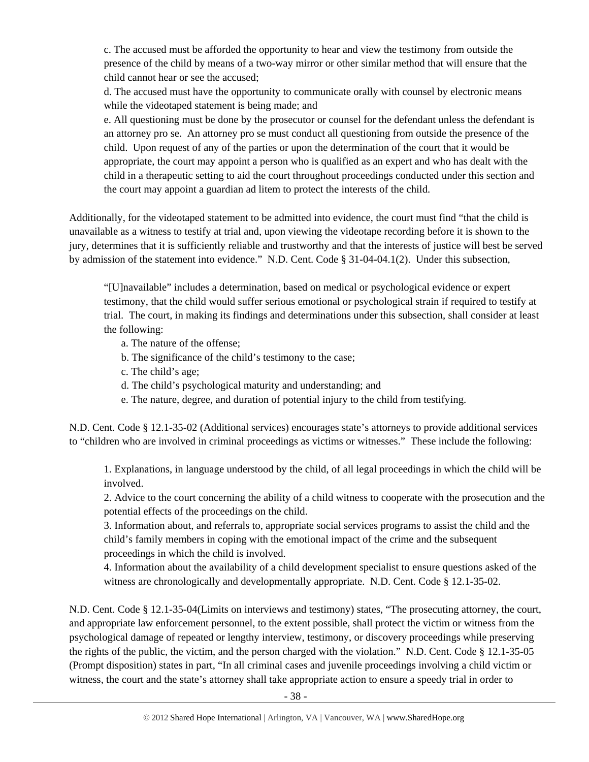c. The accused must be afforded the opportunity to hear and view the testimony from outside the presence of the child by means of a two-way mirror or other similar method that will ensure that the child cannot hear or see the accused;

d. The accused must have the opportunity to communicate orally with counsel by electronic means while the videotaped statement is being made; and

e. All questioning must be done by the prosecutor or counsel for the defendant unless the defendant is an attorney pro se. An attorney pro se must conduct all questioning from outside the presence of the child. Upon request of any of the parties or upon the determination of the court that it would be appropriate, the court may appoint a person who is qualified as an expert and who has dealt with the child in a therapeutic setting to aid the court throughout proceedings conducted under this section and the court may appoint a guardian ad litem to protect the interests of the child.

Additionally, for the videotaped statement to be admitted into evidence, the court must find "that the child is unavailable as a witness to testify at trial and, upon viewing the videotape recording before it is shown to the jury, determines that it is sufficiently reliable and trustworthy and that the interests of justice will best be served by admission of the statement into evidence." N.D. Cent. Code § 31-04-04.1(2). Under this subsection,

"[U]navailable" includes a determination, based on medical or psychological evidence or expert testimony, that the child would suffer serious emotional or psychological strain if required to testify at trial. The court, in making its findings and determinations under this subsection, shall consider at least the following:

- a. The nature of the offense;
- b. The significance of the child's testimony to the case;
- c. The child's age;
- d. The child's psychological maturity and understanding; and
- e. The nature, degree, and duration of potential injury to the child from testifying.

N.D. Cent. Code § 12.1-35-02 (Additional services) encourages state's attorneys to provide additional services to "children who are involved in criminal proceedings as victims or witnesses." These include the following:

1. Explanations, in language understood by the child, of all legal proceedings in which the child will be involved.

2. Advice to the court concerning the ability of a child witness to cooperate with the prosecution and the potential effects of the proceedings on the child.

3. Information about, and referrals to, appropriate social services programs to assist the child and the child's family members in coping with the emotional impact of the crime and the subsequent proceedings in which the child is involved.

4. Information about the availability of a child development specialist to ensure questions asked of the witness are chronologically and developmentally appropriate. N.D. Cent. Code § 12.1-35-02.

N.D. Cent. Code § 12.1-35-04(Limits on interviews and testimony) states, "The prosecuting attorney, the court, and appropriate law enforcement personnel, to the extent possible, shall protect the victim or witness from the psychological damage of repeated or lengthy interview, testimony, or discovery proceedings while preserving the rights of the public, the victim, and the person charged with the violation." N.D. Cent. Code § 12.1-35-05 (Prompt disposition) states in part, "In all criminal cases and juvenile proceedings involving a child victim or witness, the court and the state's attorney shall take appropriate action to ensure a speedy trial in order to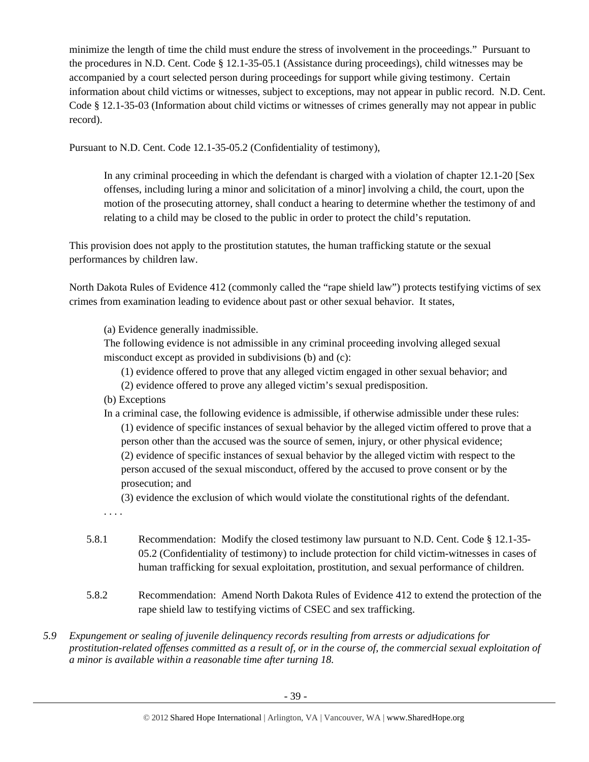minimize the length of time the child must endure the stress of involvement in the proceedings." Pursuant to the procedures in N.D. Cent. Code § 12.1-35-05.1 (Assistance during proceedings), child witnesses may be accompanied by a court selected person during proceedings for support while giving testimony. Certain information about child victims or witnesses, subject to exceptions, may not appear in public record. N.D. Cent. Code § 12.1-35-03 (Information about child victims or witnesses of crimes generally may not appear in public record).

Pursuant to N.D. Cent. Code 12.1-35-05.2 (Confidentiality of testimony),

In any criminal proceeding in which the defendant is charged with a violation of chapter 12.1-20 [Sex offenses, including luring a minor and solicitation of a minor] involving a child, the court, upon the motion of the prosecuting attorney, shall conduct a hearing to determine whether the testimony of and relating to a child may be closed to the public in order to protect the child's reputation.

This provision does not apply to the prostitution statutes, the human trafficking statute or the sexual performances by children law.

North Dakota Rules of Evidence 412 (commonly called the "rape shield law") protects testifying victims of sex crimes from examination leading to evidence about past or other sexual behavior. It states,

(a) Evidence generally inadmissible.

The following evidence is not admissible in any criminal proceeding involving alleged sexual misconduct except as provided in subdivisions (b) and (c):

(1) evidence offered to prove that any alleged victim engaged in other sexual behavior; and

- (2) evidence offered to prove any alleged victim's sexual predisposition.
- (b) Exceptions
- In a criminal case, the following evidence is admissible, if otherwise admissible under these rules: (1) evidence of specific instances of sexual behavior by the alleged victim offered to prove that a person other than the accused was the source of semen, injury, or other physical evidence; (2) evidence of specific instances of sexual behavior by the alleged victim with respect to the person accused of the sexual misconduct, offered by the accused to prove consent or by the prosecution; and

(3) evidence the exclusion of which would violate the constitutional rights of the defendant.

. . . .

- 5.8.1 Recommendation: Modify the closed testimony law pursuant to N.D. Cent. Code § 12.1-35- 05.2 (Confidentiality of testimony) to include protection for child victim-witnesses in cases of human trafficking for sexual exploitation, prostitution, and sexual performance of children.
- 5.8.2 Recommendation: Amend North Dakota Rules of Evidence 412 to extend the protection of the rape shield law to testifying victims of CSEC and sex trafficking.
- *5.9 Expungement or sealing of juvenile delinquency records resulting from arrests or adjudications for prostitution-related offenses committed as a result of, or in the course of, the commercial sexual exploitation of a minor is available within a reasonable time after turning 18.*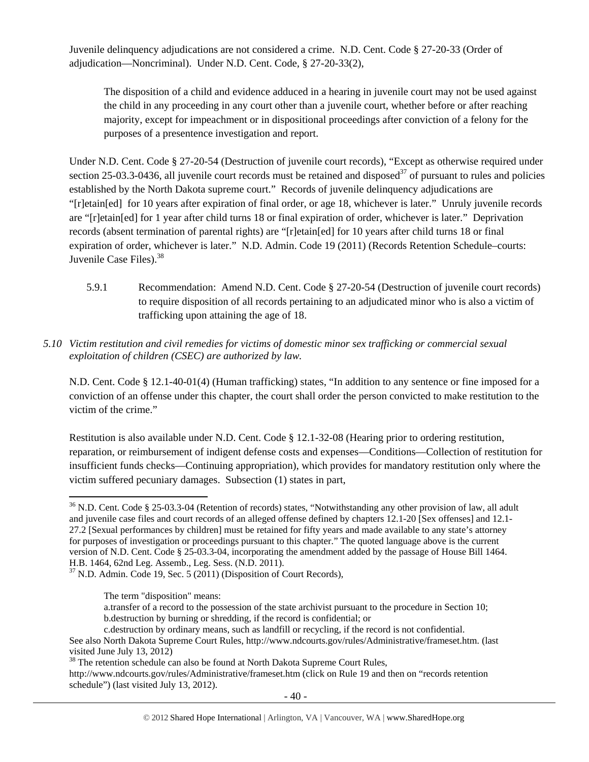Juvenile delinquency adjudications are not considered a crime. N.D. Cent. Code § 27-20-33 (Order of adjudication—Noncriminal). Under N.D. Cent. Code, § 27-20-33(2),

The disposition of a child and evidence adduced in a hearing in juvenile court may not be used against the child in any proceeding in any court other than a juvenile court, whether before or after reaching majority, except for impeachment or in dispositional proceedings after conviction of a felony for the purposes of a presentence investigation and report.

Under N.D. Cent. Code § 27-20-54 (Destruction of juvenile court records), "Except as otherwise required under section 25-03.3-0436, all juvenile court records must be retained and disposed $37$  of pursuant to rules and policies established by the North Dakota supreme court." Records of juvenile delinquency adjudications are "[rletain[ed] for 10 years after expiration of final order, or age 18, whichever is later." Unruly juvenile records are "[r]etain[ed] for 1 year after child turns 18 or final expiration of order, whichever is later." Deprivation records (absent termination of parental rights) are "[r]etain[ed] for 10 years after child turns 18 or final expiration of order, whichever is later." N.D. Admin. Code 19 (2011) (Records Retention Schedule–courts: Juvenile Case Files). $38$ 

- 5.9.1 Recommendation: Amend N.D. Cent. Code § 27-20-54 (Destruction of juvenile court records) to require disposition of all records pertaining to an adjudicated minor who is also a victim of trafficking upon attaining the age of 18.
- *5.10 Victim restitution and civil remedies for victims of domestic minor sex trafficking or commercial sexual exploitation of children (CSEC) are authorized by law.*

N.D. Cent. Code § 12.1-40-01(4) (Human trafficking) states, "In addition to any sentence or fine imposed for a conviction of an offense under this chapter, the court shall order the person convicted to make restitution to the victim of the crime."

Restitution is also available under N.D. Cent. Code § 12.1-32-08 (Hearing prior to ordering restitution, reparation, or reimbursement of indigent defense costs and expenses—Conditions—Collection of restitution for insufficient funds checks—Continuing appropriation), which provides for mandatory restitution only where the victim suffered pecuniary damages. Subsection (1) states in part,

a.transfer of a record to the possession of the state archivist pursuant to the procedure in Section 10; b.destruction by burning or shredding, if the record is confidential; or

<sup>&</sup>lt;sup>36</sup> N.D. Cent. Code § 25-03.3-04 (Retention of records) states, "Notwithstanding any other provision of law, all adult and juvenile case files and court records of an alleged offense defined by chapters 12.1-20 [Sex offenses] and 12.1- 27.2 [Sexual performances by children] must be retained for fifty years and made available to any state's attorney for purposes of investigation or proceedings pursuant to this chapter." The quoted language above is the current version of N.D. Cent. Code § 25-03.3-04, incorporating the amendment added by the passage of House Bill 1464. H.B. 1464, 62nd Leg. Assemb., Leg. Sess. (N.D. 2011).

<sup>&</sup>lt;sup>37</sup> N.D. Admin. Code 19, Sec. 5 (2011) (Disposition of Court Records),

The term "disposition" means:

c.destruction by ordinary means, such as landfill or recycling, if the record is not confidential.

See also North Dakota Supreme Court Rules, http://www.ndcourts.gov/rules/Administrative/frameset.htm. (last visited June July 13, 2012)

<sup>&</sup>lt;sup>38</sup> The retention schedule can also be found at North Dakota Supreme Court Rules, http://www.ndcourts.gov/rules/Administrative/frameset.htm (click on Rule 19 and then on "records retention schedule") (last visited July 13, 2012).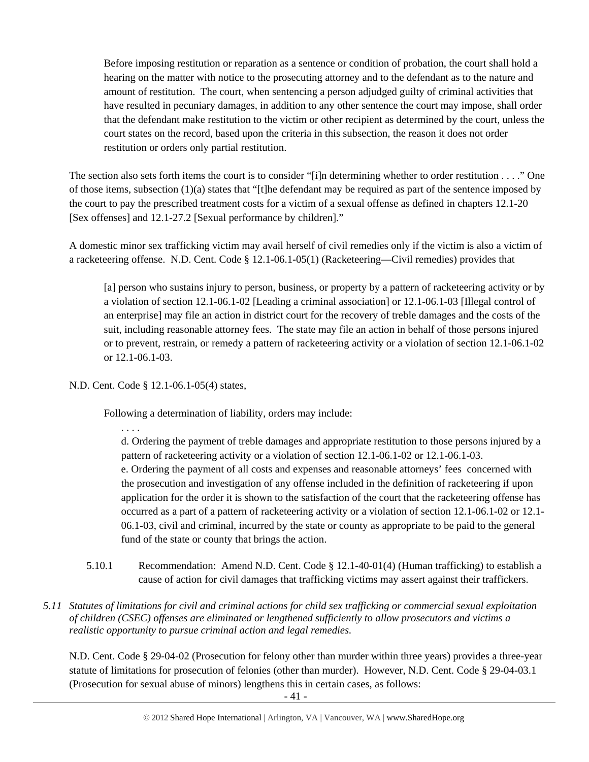Before imposing restitution or reparation as a sentence or condition of probation, the court shall hold a hearing on the matter with notice to the prosecuting attorney and to the defendant as to the nature and amount of restitution. The court, when sentencing a person adjudged guilty of criminal activities that have resulted in pecuniary damages, in addition to any other sentence the court may impose, shall order that the defendant make restitution to the victim or other recipient as determined by the court, unless the court states on the record, based upon the criteria in this subsection, the reason it does not order restitution or orders only partial restitution.

The section also sets forth items the court is to consider "[i]n determining whether to order restitution . . . ." One of those items, subsection (1)(a) states that "[t]he defendant may be required as part of the sentence imposed by the court to pay the prescribed treatment costs for a victim of a sexual offense as defined in chapters 12.1-20 [Sex offenses] and 12.1-27.2 [Sexual performance by children]."

A domestic minor sex trafficking victim may avail herself of civil remedies only if the victim is also a victim of a racketeering offense. N.D. Cent. Code § 12.1-06.1-05(1) (Racketeering—Civil remedies) provides that

[a] person who sustains injury to person, business, or property by a pattern of racketeering activity or by a violation of section 12.1-06.1-02 [Leading a criminal association] or 12.1-06.1-03 [Illegal control of an enterprise] may file an action in district court for the recovery of treble damages and the costs of the suit, including reasonable attorney fees. The state may file an action in behalf of those persons injured or to prevent, restrain, or remedy a pattern of racketeering activity or a violation of section 12.1-06.1-02 or 12.1-06.1-03.

N.D. Cent. Code § 12.1-06.1-05(4) states,

Following a determination of liability, orders may include:

. . . .

d. Ordering the payment of treble damages and appropriate restitution to those persons injured by a pattern of racketeering activity or a violation of section 12.1-06.1-02 or 12.1-06.1-03. e. Ordering the payment of all costs and expenses and reasonable attorneys' fees concerned with the prosecution and investigation of any offense included in the definition of racketeering if upon application for the order it is shown to the satisfaction of the court that the racketeering offense has occurred as a part of a pattern of racketeering activity or a violation of section 12.1-06.1-02 or 12.1- 06.1-03, civil and criminal, incurred by the state or county as appropriate to be paid to the general fund of the state or county that brings the action.

- 5.10.1 Recommendation: Amend N.D. Cent. Code § 12.1-40-01(4) (Human trafficking) to establish a cause of action for civil damages that trafficking victims may assert against their traffickers.
- *5.11 Statutes of limitations for civil and criminal actions for child sex trafficking or commercial sexual exploitation of children (CSEC) offenses are eliminated or lengthened sufficiently to allow prosecutors and victims a realistic opportunity to pursue criminal action and legal remedies.*

N.D. Cent. Code § 29-04-02 (Prosecution for felony other than murder within three years) provides a three-year statute of limitations for prosecution of felonies (other than murder). However, N.D. Cent. Code § 29-04-03.1 (Prosecution for sexual abuse of minors) lengthens this in certain cases, as follows: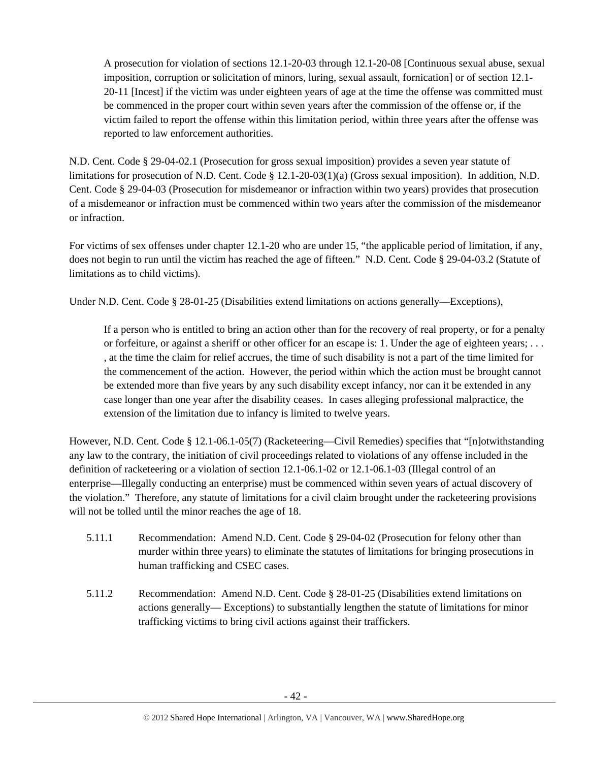A prosecution for violation of sections 12.1-20-03 through 12.1-20-08 [Continuous sexual abuse, sexual imposition, corruption or solicitation of minors, luring, sexual assault, fornication] or of section 12.1- 20-11 [Incest] if the victim was under eighteen years of age at the time the offense was committed must be commenced in the proper court within seven years after the commission of the offense or, if the victim failed to report the offense within this limitation period, within three years after the offense was reported to law enforcement authorities.

N.D. Cent. Code § 29-04-02.1 (Prosecution for gross sexual imposition) provides a seven year statute of limitations for prosecution of N.D. Cent. Code § 12.1-20-03(1)(a) (Gross sexual imposition). In addition, N.D. Cent. Code § 29-04-03 (Prosecution for misdemeanor or infraction within two years) provides that prosecution of a misdemeanor or infraction must be commenced within two years after the commission of the misdemeanor or infraction.

For victims of sex offenses under chapter 12.1-20 who are under 15, "the applicable period of limitation, if any, does not begin to run until the victim has reached the age of fifteen." N.D. Cent. Code § 29-04-03.2 (Statute of limitations as to child victims).

Under N.D. Cent. Code § 28-01-25 (Disabilities extend limitations on actions generally—Exceptions),

If a person who is entitled to bring an action other than for the recovery of real property, or for a penalty or forfeiture, or against a sheriff or other officer for an escape is: 1. Under the age of eighteen years; . . . , at the time the claim for relief accrues, the time of such disability is not a part of the time limited for the commencement of the action. However, the period within which the action must be brought cannot be extended more than five years by any such disability except infancy, nor can it be extended in any case longer than one year after the disability ceases. In cases alleging professional malpractice, the extension of the limitation due to infancy is limited to twelve years.

However, N.D. Cent. Code § 12.1-06.1-05(7) (Racketeering—Civil Remedies) specifies that "[n]otwithstanding any law to the contrary, the initiation of civil proceedings related to violations of any offense included in the definition of racketeering or a violation of section 12.1-06.1-02 or 12.1-06.1-03 (Illegal control of an enterprise—Illegally conducting an enterprise) must be commenced within seven years of actual discovery of the violation." Therefore, any statute of limitations for a civil claim brought under the racketeering provisions will not be tolled until the minor reaches the age of 18.

- 5.11.1 Recommendation: Amend N.D. Cent. Code § 29-04-02 (Prosecution for felony other than murder within three years) to eliminate the statutes of limitations for bringing prosecutions in human trafficking and CSEC cases.
- 5.11.2 Recommendation: Amend N.D. Cent. Code § 28-01-25 (Disabilities extend limitations on actions generally— Exceptions) to substantially lengthen the statute of limitations for minor trafficking victims to bring civil actions against their traffickers.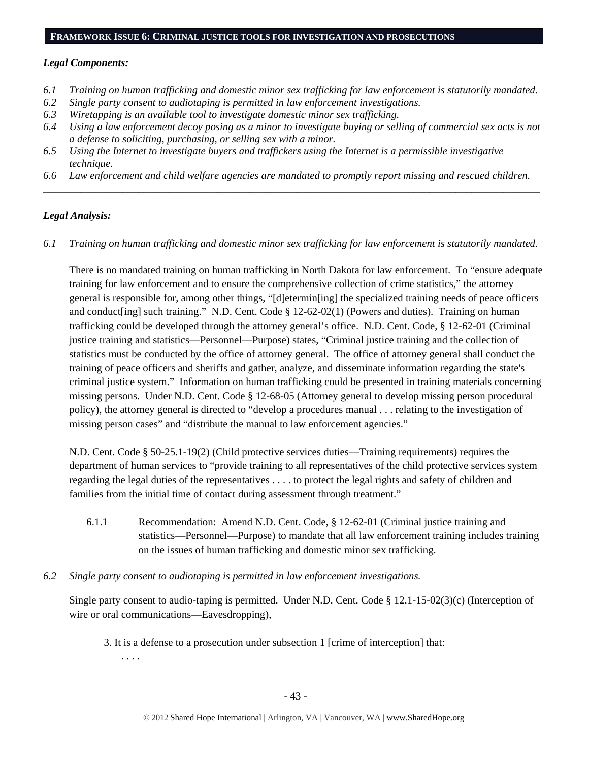#### **FRAMEWORK ISSUE 6: CRIMINAL JUSTICE TOOLS FOR INVESTIGATION AND PROSECUTIONS**

#### *Legal Components:*

- *6.1 Training on human trafficking and domestic minor sex trafficking for law enforcement is statutorily mandated.*
- *6.2 Single party consent to audiotaping is permitted in law enforcement investigations.*
- *6.3 Wiretapping is an available tool to investigate domestic minor sex trafficking.*
- *6.4 Using a law enforcement decoy posing as a minor to investigate buying or selling of commercial sex acts is not a defense to soliciting, purchasing, or selling sex with a minor.*
- *6.5 Using the Internet to investigate buyers and traffickers using the Internet is a permissible investigative technique.*
- *6.6 Law enforcement and child welfare agencies are mandated to promptly report missing and rescued children. \_\_\_\_\_\_\_\_\_\_\_\_\_\_\_\_\_\_\_\_\_\_\_\_\_\_\_\_\_\_\_\_\_\_\_\_\_\_\_\_\_\_\_\_\_\_\_\_\_\_\_\_\_\_\_\_\_\_\_\_\_\_\_\_\_\_\_\_\_\_\_\_\_\_\_\_\_\_\_\_\_\_\_\_\_\_\_\_\_\_\_\_\_\_*

## *Legal Analysis:*

*6.1 Training on human trafficking and domestic minor sex trafficking for law enforcement is statutorily mandated.*

There is no mandated training on human trafficking in North Dakota for law enforcement. To "ensure adequate training for law enforcement and to ensure the comprehensive collection of crime statistics," the attorney general is responsible for, among other things, "[d]etermin[ing] the specialized training needs of peace officers and conduct[ing] such training." N.D. Cent. Code § 12-62-02(1) (Powers and duties). Training on human trafficking could be developed through the attorney general's office. N.D. Cent. Code, § 12-62-01 (Criminal justice training and statistics—Personnel—Purpose) states, "Criminal justice training and the collection of statistics must be conducted by the office of attorney general. The office of attorney general shall conduct the training of peace officers and sheriffs and gather, analyze, and disseminate information regarding the state's criminal justice system." Information on human trafficking could be presented in training materials concerning missing persons. Under N.D. Cent. Code § 12-68-05 (Attorney general to develop missing person procedural policy), the attorney general is directed to "develop a procedures manual . . . relating to the investigation of missing person cases" and "distribute the manual to law enforcement agencies."

N.D. Cent. Code § 50-25.1-19(2) (Child protective services duties—Training requirements) requires the department of human services to "provide training to all representatives of the child protective services system regarding the legal duties of the representatives . . . . to protect the legal rights and safety of children and families from the initial time of contact during assessment through treatment."

- 6.1.1 Recommendation: Amend N.D. Cent. Code, § 12-62-01 (Criminal justice training and statistics—Personnel—Purpose) to mandate that all law enforcement training includes training on the issues of human trafficking and domestic minor sex trafficking.
- *6.2 Single party consent to audiotaping is permitted in law enforcement investigations.*

Single party consent to audio-taping is permitted. Under N.D. Cent. Code § 12.1-15-02(3)(c) (Interception of wire or oral communications—Eavesdropping),

3. It is a defense to a prosecution under subsection 1 [crime of interception] that:

. . . .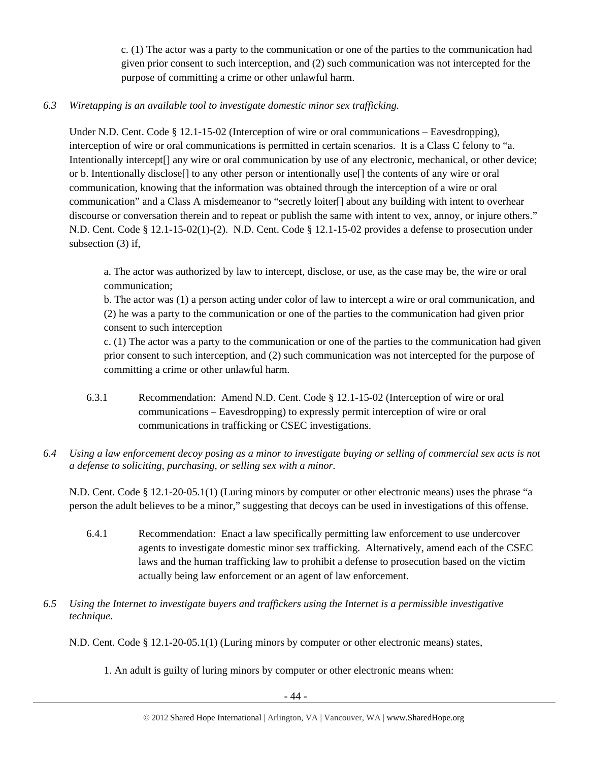c. (1) The actor was a party to the communication or one of the parties to the communication had given prior consent to such interception, and (2) such communication was not intercepted for the purpose of committing a crime or other unlawful harm.

# *6.3 Wiretapping is an available tool to investigate domestic minor sex trafficking.*

Under N.D. Cent. Code § 12.1-15-02 (Interception of wire or oral communications – Eavesdropping), interception of wire or oral communications is permitted in certain scenarios. It is a Class C felony to "a. Intentionally intercept[] any wire or oral communication by use of any electronic, mechanical, or other device; or b. Intentionally disclose[] to any other person or intentionally use[] the contents of any wire or oral communication, knowing that the information was obtained through the interception of a wire or oral communication" and a Class A misdemeanor to "secretly loiter[] about any building with intent to overhear discourse or conversation therein and to repeat or publish the same with intent to vex, annoy, or injure others." N.D. Cent. Code § 12.1-15-02(1)-(2). N.D. Cent. Code § 12.1-15-02 provides a defense to prosecution under subsection (3) if,

a. The actor was authorized by law to intercept, disclose, or use, as the case may be, the wire or oral communication;

b. The actor was (1) a person acting under color of law to intercept a wire or oral communication, and (2) he was a party to the communication or one of the parties to the communication had given prior consent to such interception

c. (1) The actor was a party to the communication or one of the parties to the communication had given prior consent to such interception, and (2) such communication was not intercepted for the purpose of committing a crime or other unlawful harm.

- 6.3.1 Recommendation: Amend N.D. Cent. Code § 12.1-15-02 (Interception of wire or oral communications – Eavesdropping) to expressly permit interception of wire or oral communications in trafficking or CSEC investigations.
- *6.4 Using a law enforcement decoy posing as a minor to investigate buying or selling of commercial sex acts is not a defense to soliciting, purchasing, or selling sex with a minor.*

N.D. Cent. Code § 12.1-20-05.1(1) (Luring minors by computer or other electronic means) uses the phrase "a person the adult believes to be a minor," suggesting that decoys can be used in investigations of this offense.

- 6.4.1 Recommendation: Enact a law specifically permitting law enforcement to use undercover agents to investigate domestic minor sex trafficking. Alternatively, amend each of the CSEC laws and the human trafficking law to prohibit a defense to prosecution based on the victim actually being law enforcement or an agent of law enforcement.
- *6.5 Using the Internet to investigate buyers and traffickers using the Internet is a permissible investigative technique.*

N.D. Cent. Code § 12.1-20-05.1(1) (Luring minors by computer or other electronic means) states,

1. An adult is guilty of luring minors by computer or other electronic means when: